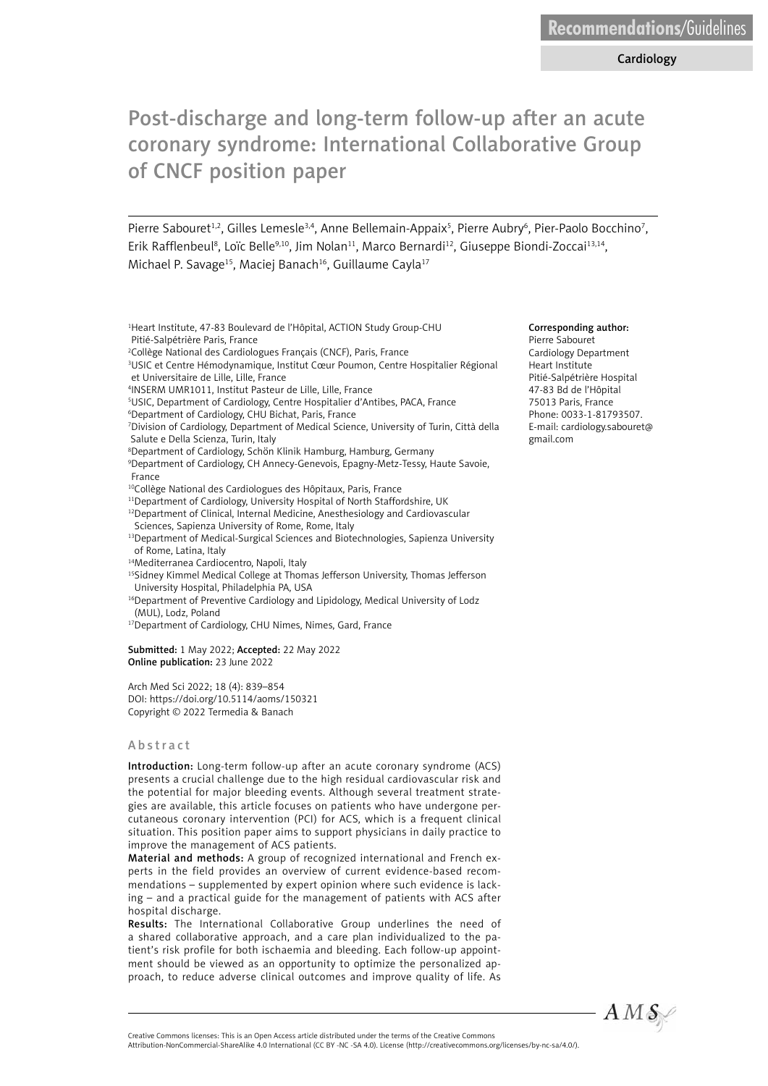# Post-discharge and long-term follow-up after an acute coronary syndrome: International Collaborative Group of CNCF position paper

Pierre Sabouret<sup>1,2</sup>, Gilles Lemesle<sup>3,4</sup>, Anne Bellemain-Appaix<sup>5</sup>, Pierre Aubry<sup>6</sup>, Pier-Paolo Bocchino<sup>7</sup>, Erik Rafflenbeul<sup>8</sup>, Loïc Belle<sup>9,10</sup>, Jim Nolan<sup>11</sup>, Marco Bernardi<sup>12</sup>, Giuseppe Biondi-Zoccai<sup>13,14</sup>, Michael P. Savage<sup>15</sup>, Maciej Banach<sup>16</sup>, Guillaume Cayla<sup>17</sup>

- 1 Heart Institute, 47-83 Boulevard de l'Hôpital, ACTION Study Group-CHU Pitié-Salpétrière Paris, France
- 2 Collège National des Cardiologues Français (CNCF), Paris, France

3 USIC et Centre Hémodynamique, Institut Cœur Poumon, Centre Hospitalier Régional et Universitaire de Lille, Lille, France

- 4 INSERM UMR1011, Institut Pasteur de Lille, Lille, France
- 5 USIC, Department of Cardiology, Centre Hospitalier d'Antibes, PACA, France
- 6 Department of Cardiology, CHU Bichat, Paris, France
- 7 Division of Cardiology, Department of Medical Science, University of Turin, Città della Salute e Della Scienza, Turin, Italy
- 8 Department of Cardiology, Schön Klinik Hamburg, Hamburg, Germany

9 Department of Cardiology, CH Annecy-Genevois, Epagny-Metz-Tessy, Haute Savoie, France

- 10Collège National des Cardiologues des Hôpitaux, Paris, France
- <sup>11</sup>Department of Cardiology, University Hospital of North Staffordshire, UK <sup>12</sup>Department of Clinical, Internal Medicine, Anesthesiology and Cardiovascular
- Sciences, Sapienza University of Rome, Rome, Italy 13Department of Medical-Surgical Sciences and Biotechnologies, Sapienza University
- of Rome, Latina, Italy
- 14Mediterranea Cardiocentro, Napoli, Italy

15Sidney Kimmel Medical College at Thomas Jefferson University, Thomas Jefferson University Hospital, Philadelphia PA, USA

- <sup>16</sup>Department of Preventive Cardiology and Lipidology, Medical University of Lodz (MUL), Lodz, Poland
- <sup>17</sup>Department of Cardiology, CHU Nimes, Nimes, Gard, France

Submitted: 1 May 2022; Accepted: 22 May 2022 Online publication: 23 June 2022

Arch Med Sci 2022; 18 (4): 839–854 DOI: https://doi.org/10.5114/aoms/150321 Copyright © 2022 Termedia & Banach

#### **A** b s t r a c t

Introduction: Long-term follow-up after an acute coronary syndrome (ACS) presents a crucial challenge due to the high residual cardiovascular risk and the potential for major bleeding events. Although several treatment strategies are available, this article focuses on patients who have undergone percutaneous coronary intervention (PCI) for ACS, which is a frequent clinical situation. This position paper aims to support physicians in daily practice to improve the management of ACS patients.

Material and methods: A group of recognized international and French experts in the field provides an overview of current evidence-based recommendations – supplemented by expert opinion where such evidence is lacking – and a practical guide for the management of patients with ACS after hospital discharge.

Results: The International Collaborative Group underlines the need of a shared collaborative approach, and a care plan individualized to the patient's risk profile for both ischaemia and bleeding. Each follow-up appointment should be viewed as an opportunity to optimize the personalized approach, to reduce adverse clinical outcomes and improve quality of life. As

#### Corresponding author:

Pierre Sabouret Cardiology Department Heart Institute Pitié-Salpétrière Hospital 47-83 Bd de l'Hôpital 75013 Paris, France Phone: 0033-1-81793507. E-mail: cardiology.sabouret@ gmail.com



Attribution-NonCommercial-ShareAlike 4.0 International (CC BY -NC -SA 4.0). License (http://creativecommons.org/licenses/by-nc-sa/4.0/).

Creative Commons licenses: This is an Open Access article distributed under the terms of the Creative Commons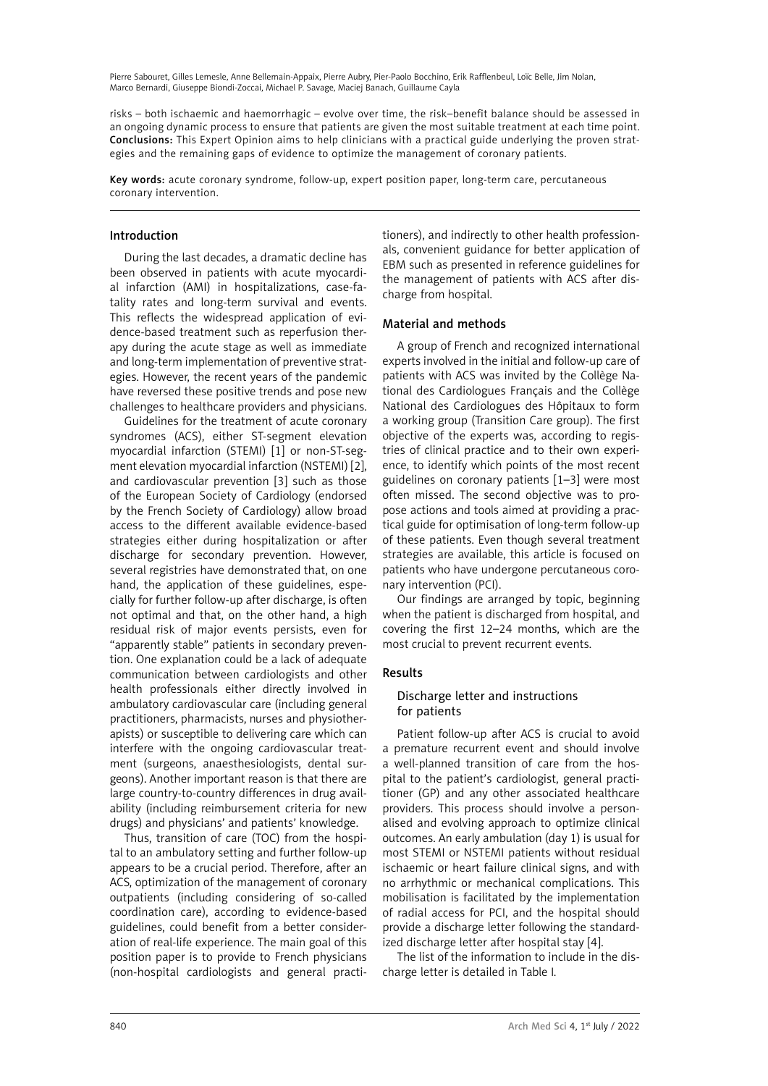risks – both ischaemic and haemorrhagic – evolve over time, the risk–benefit balance should be assessed in an ongoing dynamic process to ensure that patients are given the most suitable treatment at each time point. Conclusions: This Expert Opinion aims to help clinicians with a practical guide underlying the proven strategies and the remaining gaps of evidence to optimize the management of coronary patients.

Key words: acute coronary syndrome, follow-up, expert position paper, long-term care, percutaneous coronary intervention.

## Introduction

During the last decades, a dramatic decline has been observed in patients with acute myocardial infarction (AMI) in hospitalizations, case-fatality rates and long-term survival and events. This reflects the widespread application of evidence-based treatment such as reperfusion therapy during the acute stage as well as immediate and long-term implementation of preventive strategies. However, the recent years of the pandemic have reversed these positive trends and pose new challenges to healthcare providers and physicians.

Guidelines for the treatment of acute coronary syndromes (ACS), either ST-segment elevation myocardial infarction (STEMI) [1] or non-ST-segment elevation myocardial infarction (NSTEMI) [2], and cardiovascular prevention [3] such as those of the European Society of Cardiology (endorsed by the French Society of Cardiology) allow broad access to the different available evidence-based strategies either during hospitalization or after discharge for secondary prevention. However, several registries have demonstrated that, on one hand, the application of these guidelines, especially for further follow-up after discharge, is often not optimal and that, on the other hand, a high residual risk of major events persists, even for "apparently stable" patients in secondary prevention. One explanation could be a lack of adequate communication between cardiologists and other health professionals either directly involved in ambulatory cardiovascular care (including general practitioners, pharmacists, nurses and physiotherapists) or susceptible to delivering care which can interfere with the ongoing cardiovascular treatment (surgeons, anaesthesiologists, dental surgeons). Another important reason is that there are large country-to-country differences in drug availability (including reimbursement criteria for new drugs) and physicians' and patients' knowledge.

Thus, transition of care (TOC) from the hospital to an ambulatory setting and further follow-up appears to be a crucial period. Therefore, after an ACS, optimization of the management of coronary outpatients (including considering of so-called coordination care), according to evidence-based guidelines, could benefit from a better consideration of real-life experience. The main goal of this position paper is to provide to French physicians (non-hospital cardiologists and general practitioners), and indirectly to other health professionals, convenient guidance for better application of EBM such as presented in reference guidelines for the management of patients with ACS after discharge from hospital.

## Material and methods

A group of French and recognized international experts involved in the initial and follow-up care of patients with ACS was invited by the Collège National des Cardiologues Français and the Collège National des Cardiologues des Hôpitaux to form a working group (Transition Care group). The first objective of the experts was, according to registries of clinical practice and to their own experience, to identify which points of the most recent guidelines on coronary patients [1–3] were most often missed. The second objective was to propose actions and tools aimed at providing a practical guide for optimisation of long-term follow-up of these patients. Even though several treatment strategies are available, this article is focused on patients who have undergone percutaneous coronary intervention (PCI).

Our findings are arranged by topic, beginning when the patient is discharged from hospital, and covering the first 12–24 months, which are the most crucial to prevent recurrent events.

## Results

## Discharge letter and instructions for patients

Patient follow-up after ACS is crucial to avoid a premature recurrent event and should involve a well-planned transition of care from the hospital to the patient's cardiologist, general practitioner (GP) and any other associated healthcare providers. This process should involve a personalised and evolving approach to optimize clinical outcomes. An early ambulation (day 1) is usual for most STEMI or NSTEMI patients without residual ischaemic or heart failure clinical signs, and with no arrhythmic or mechanical complications. This mobilisation is facilitated by the implementation of radial access for PCI, and the hospital should provide a discharge letter following the standardized discharge letter after hospital stay [4].

The list of the information to include in the discharge letter is detailed in Table I*.*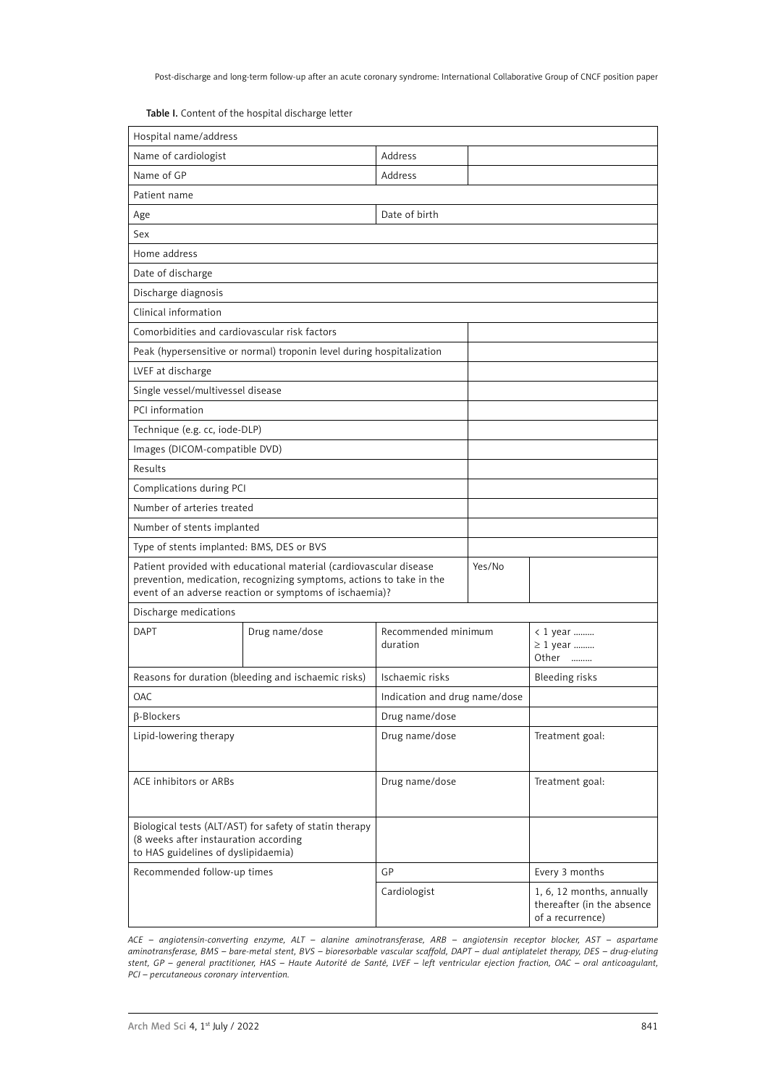Table I. Content of the hospital discharge letter

| Hospital name/address                                                                                                                                                                                 |                                                                       |                               |        |                                                                             |  |
|-------------------------------------------------------------------------------------------------------------------------------------------------------------------------------------------------------|-----------------------------------------------------------------------|-------------------------------|--------|-----------------------------------------------------------------------------|--|
| Name of cardiologist                                                                                                                                                                                  |                                                                       | Address                       |        |                                                                             |  |
| Name of GP                                                                                                                                                                                            |                                                                       | Address                       |        |                                                                             |  |
| Patient name                                                                                                                                                                                          |                                                                       |                               |        |                                                                             |  |
| Age                                                                                                                                                                                                   |                                                                       | Date of birth                 |        |                                                                             |  |
| Sex                                                                                                                                                                                                   |                                                                       |                               |        |                                                                             |  |
| Home address                                                                                                                                                                                          |                                                                       |                               |        |                                                                             |  |
| Date of discharge                                                                                                                                                                                     |                                                                       |                               |        |                                                                             |  |
| Discharge diagnosis                                                                                                                                                                                   |                                                                       |                               |        |                                                                             |  |
| Clinical information                                                                                                                                                                                  |                                                                       |                               |        |                                                                             |  |
| Comorbidities and cardiovascular risk factors                                                                                                                                                         |                                                                       |                               |        |                                                                             |  |
|                                                                                                                                                                                                       | Peak (hypersensitive or normal) troponin level during hospitalization |                               |        |                                                                             |  |
| LVEF at discharge                                                                                                                                                                                     |                                                                       |                               |        |                                                                             |  |
| Single vessel/multivessel disease                                                                                                                                                                     |                                                                       |                               |        |                                                                             |  |
| PCI information                                                                                                                                                                                       |                                                                       |                               |        |                                                                             |  |
| Technique (e.g. cc, iode-DLP)                                                                                                                                                                         |                                                                       |                               |        |                                                                             |  |
| Images (DICOM-compatible DVD)                                                                                                                                                                         |                                                                       |                               |        |                                                                             |  |
| Results                                                                                                                                                                                               |                                                                       |                               |        |                                                                             |  |
| Complications during PCI                                                                                                                                                                              |                                                                       |                               |        |                                                                             |  |
| Number of arteries treated                                                                                                                                                                            |                                                                       |                               |        |                                                                             |  |
| Number of stents implanted                                                                                                                                                                            |                                                                       |                               |        |                                                                             |  |
| Type of stents implanted: BMS, DES or BVS                                                                                                                                                             |                                                                       |                               |        |                                                                             |  |
| Patient provided with educational material (cardiovascular disease<br>prevention, medication, recognizing symptoms, actions to take in the<br>event of an adverse reaction or symptoms of ischaemia)? |                                                                       |                               | Yes/No |                                                                             |  |
| Discharge medications                                                                                                                                                                                 |                                                                       |                               |        |                                                                             |  |
| <b>DAPT</b>                                                                                                                                                                                           | Drug name/dose                                                        | Recommended minimum           |        | < 1 year                                                                    |  |
|                                                                                                                                                                                                       |                                                                       | duration                      |        | ≥ 1 year<br>Other                                                           |  |
|                                                                                                                                                                                                       | Reasons for duration (bleeding and ischaemic risks)                   | Ischaemic risks               |        | <b>Bleeding risks</b>                                                       |  |
| <b>OAC</b>                                                                                                                                                                                            |                                                                       | Indication and drug name/dose |        |                                                                             |  |
| $\beta$ -Blockers                                                                                                                                                                                     |                                                                       | Drug name/dose                |        |                                                                             |  |
| Lipid-lowering therapy                                                                                                                                                                                |                                                                       | Drug name/dose                |        | Treatment goal:                                                             |  |
| ACE inhibitors or ARBs                                                                                                                                                                                |                                                                       | Drug name/dose                |        | Treatment goal:                                                             |  |
| Biological tests (ALT/AST) for safety of statin therapy<br>(8 weeks after instauration according<br>to HAS guidelines of dyslipidaemia)                                                               |                                                                       |                               |        |                                                                             |  |
| Recommended follow-up times                                                                                                                                                                           |                                                                       | GP                            |        | Every 3 months                                                              |  |
|                                                                                                                                                                                                       |                                                                       | Cardiologist                  |        | 1, 6, 12 months, annually<br>thereafter (in the absence<br>of a recurrence) |  |

*ACE – angiotensin-converting enzyme, ALT – alanine aminotransferase, ARB – angiotensin receptor blocker, AST – aspartame aminotransferase, BMS – bare-metal stent, BVS – bioresorbable vascular scaffold, DAPT – dual antiplatelet therapy, DES – drug-eluting stent, GP – general practitioner, HAS – Haute Autorité de Santé, LVEF – left ventricular ejection fraction, OAC – oral anticoagulant, PCI – percutaneous coronary intervention.*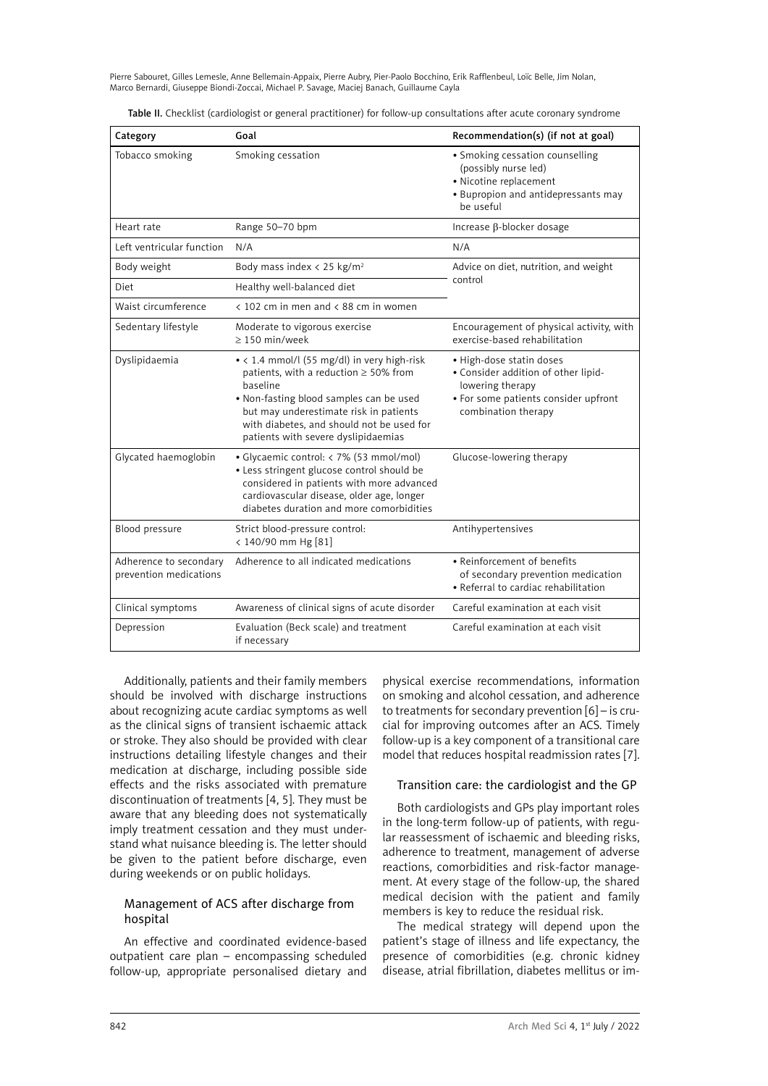| Category                                         | Goal                                                                                                                                                                                                                                                                           | Recommendation(s) (if not at goal)                                                                                                                 |  |
|--------------------------------------------------|--------------------------------------------------------------------------------------------------------------------------------------------------------------------------------------------------------------------------------------------------------------------------------|----------------------------------------------------------------------------------------------------------------------------------------------------|--|
| Tobacco smoking                                  | Smoking cessation                                                                                                                                                                                                                                                              | • Smoking cessation counselling<br>(possibly nurse led)<br>· Nicotine replacement<br>• Bupropion and antidepressants may<br>be useful              |  |
| Heart rate                                       | Range 50-70 bpm                                                                                                                                                                                                                                                                | Increase ß-blocker dosage                                                                                                                          |  |
| Left ventricular function                        | N/A                                                                                                                                                                                                                                                                            | N/A                                                                                                                                                |  |
| Body weight                                      | Body mass index < 25 kg/m <sup>2</sup>                                                                                                                                                                                                                                         | Advice on diet, nutrition, and weight<br>control                                                                                                   |  |
| Diet                                             | Healthy well-balanced diet                                                                                                                                                                                                                                                     |                                                                                                                                                    |  |
| Waist circumference                              | < 102 cm in men and < 88 cm in women                                                                                                                                                                                                                                           |                                                                                                                                                    |  |
| Sedentary lifestyle                              | Moderate to vigorous exercise<br>$> 150$ min/week                                                                                                                                                                                                                              | Encouragement of physical activity, with<br>exercise-based rehabilitation                                                                          |  |
| Dyslipidaemia                                    | • < 1.4 mmol/l (55 mg/dl) in very high-risk<br>patients, with a reduction $\geq$ 50% from<br>baseline<br>. Non-fasting blood samples can be used<br>but may underestimate risk in patients<br>with diabetes, and should not be used for<br>patients with severe dyslipidaemias | • High-dose statin doses<br>• Consider addition of other lipid-<br>lowering therapy<br>• For some patients consider upfront<br>combination therapy |  |
| Glycated haemoglobin                             | • Glycaemic control: < 7% (53 mmol/mol)<br>· Less stringent glucose control should be<br>considered in patients with more advanced<br>cardiovascular disease, older age, longer<br>diabetes duration and more comorbidities                                                    | Glucose-lowering therapy                                                                                                                           |  |
| Blood pressure                                   | Strict blood-pressure control:<br>< 140/90 mm Hg [81]                                                                                                                                                                                                                          | Antihypertensives                                                                                                                                  |  |
| Adherence to secondary<br>prevention medications | Adherence to all indicated medications                                                                                                                                                                                                                                         | • Reinforcement of benefits<br>of secondary prevention medication<br>• Referral to cardiac rehabilitation                                          |  |
| Clinical symptoms                                | Awareness of clinical signs of acute disorder                                                                                                                                                                                                                                  | Careful examination at each visit                                                                                                                  |  |
| Depression                                       | Evaluation (Beck scale) and treatment<br>if necessary                                                                                                                                                                                                                          | Careful examination at each visit                                                                                                                  |  |

Additionally, patients and their family members should be involved with discharge instructions about recognizing acute cardiac symptoms as well as the clinical signs of transient ischaemic attack or stroke. They also should be provided with clear instructions detailing lifestyle changes and their medication at discharge, including possible side effects and the risks associated with premature discontinuation of treatments [4, 5]. They must be aware that any bleeding does not systematically imply treatment cessation and they must understand what nuisance bleeding is. The letter should be given to the patient before discharge, even during weekends or on public holidays.

## Management of ACS after discharge from hospital

An effective and coordinated evidence-based outpatient care plan – encompassing scheduled follow-up, appropriate personalised dietary and

physical exercise recommendations, information on smoking and alcohol cessation, and adherence to treatments for secondary prevention [6] – is crucial for improving outcomes after an ACS. Timely follow-up is a key component of a transitional care model that reduces hospital readmission rates [7].

## Transition care: the cardiologist and the GP

Both cardiologists and GPs play important roles in the long-term follow-up of patients, with regular reassessment of ischaemic and bleeding risks, adherence to treatment, management of adverse reactions, comorbidities and risk-factor management. At every stage of the follow-up, the shared medical decision with the patient and family members is key to reduce the residual risk.

The medical strategy will depend upon the patient's stage of illness and life expectancy, the presence of comorbidities (e.g. chronic kidney disease, atrial fibrillation, diabetes mellitus or im-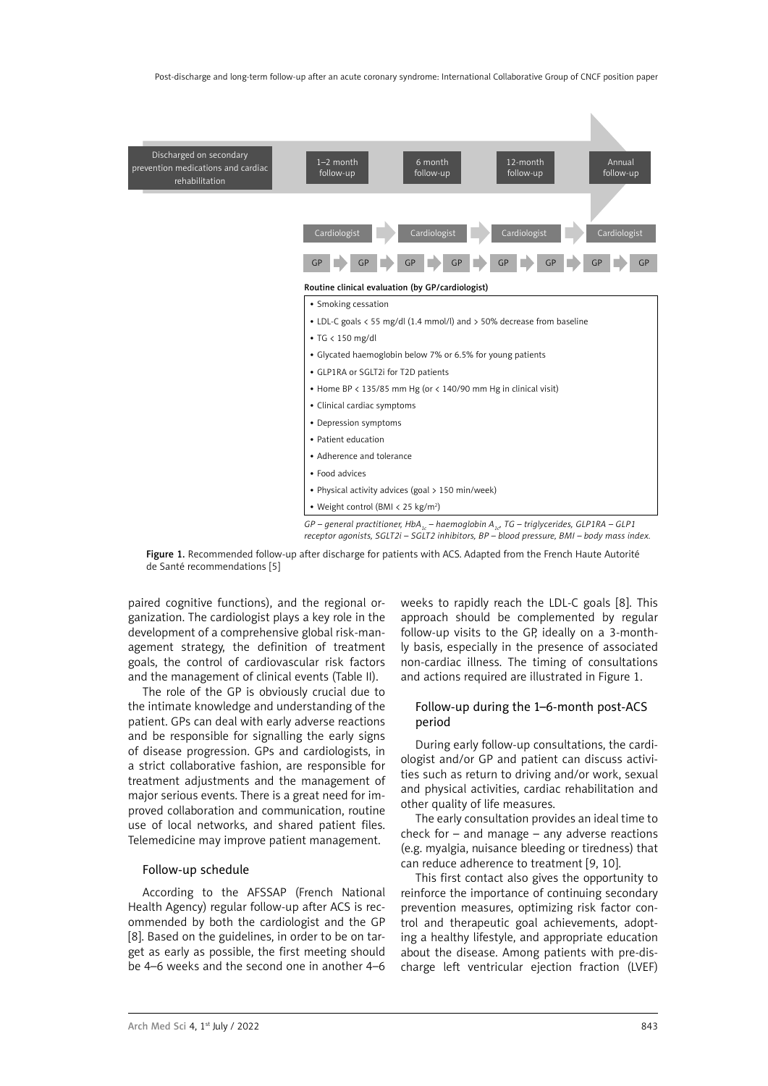

*GP – general practitioner, HbA<sub>1c</sub> – haemoglobin A<sub>1c</sub>, TG – triglycerides, GLP1RA – GLP1 receptor agonists, SGLT2i – SGLT2 inhibitors, BP – blood pressure, BMI – body mass index.*

Figure 1. Recommended follow-up after discharge for patients with ACS. Adapted from the French Haute Autorité de Santé recommendations [5]

paired cognitive functions), and the regional organization. The cardiologist plays a key role in the development of a comprehensive global risk-management strategy, the definition of treatment goals, the control of cardiovascular risk factors and the management of clinical events (Table II).

The role of the GP is obviously crucial due to the intimate knowledge and understanding of the patient. GPs can deal with early adverse reactions and be responsible for signalling the early signs of disease progression. GPs and cardiologists, in a strict collaborative fashion, are responsible for treatment adjustments and the management of major serious events. There is a great need for improved collaboration and communication, routine use of local networks, and shared patient files. Telemedicine may improve patient management.

#### Follow-up schedule

According to the AFSSAP (French National Health Agency) regular follow-up after ACS is recommended by both the cardiologist and the GP [8]. Based on the guidelines, in order to be on target as early as possible, the first meeting should be 4–6 weeks and the second one in another 4–6 weeks to rapidly reach the LDL-C goals [8]. This approach should be complemented by regular follow-up visits to the GP, ideally on a 3-monthly basis, especially in the presence of associated non-cardiac illness. The timing of consultations and actions required are illustrated in Figure 1.

## Follow-up during the 1–6-month post-ACS period

During early follow-up consultations, the cardiologist and/or GP and patient can discuss activities such as return to driving and/or work, sexual and physical activities, cardiac rehabilitation and other quality of life measures.

The early consultation provides an ideal time to check for – and manage – any adverse reactions (e.g. myalgia, nuisance bleeding or tiredness) that can reduce adherence to treatment [9, 10].

This first contact also gives the opportunity to reinforce the importance of continuing secondary prevention measures, optimizing risk factor control and therapeutic goal achievements, adopting a healthy lifestyle, and appropriate education about the disease. Among patients with pre-discharge left ventricular ejection fraction (LVEF)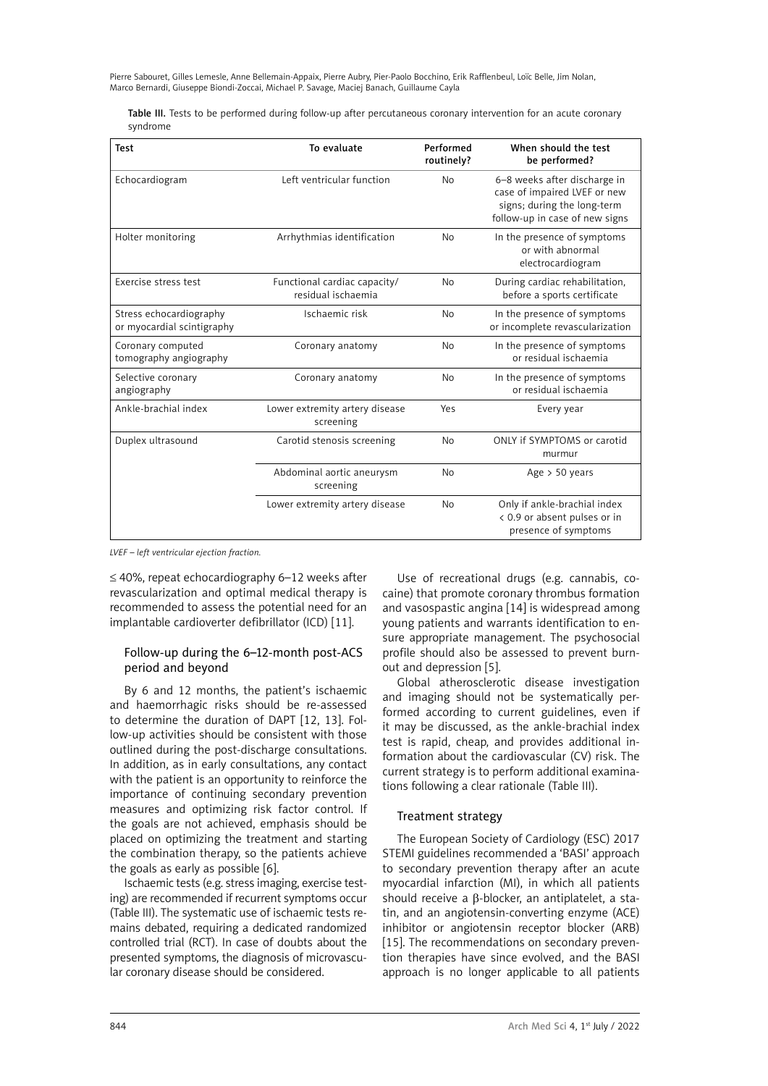Table III. Tests to be performed during follow-up after percutaneous coronary intervention for an acute coronary syndrome

| <b>Test</b>                                           | To evaluate                                        | Performed<br>routinely? | When should the test<br>be performed?                                                                                         |
|-------------------------------------------------------|----------------------------------------------------|-------------------------|-------------------------------------------------------------------------------------------------------------------------------|
| Echocardiogram                                        | Left ventricular function                          | <b>No</b>               | 6-8 weeks after discharge in<br>case of impaired LVEF or new<br>signs; during the long-term<br>follow-up in case of new signs |
| Holter monitoring                                     | Arrhythmias identification                         | <b>No</b>               | In the presence of symptoms<br>or with abnormal<br>electrocardiogram                                                          |
| Exercise stress test                                  | Functional cardiac capacity/<br>residual ischaemia | <b>No</b>               | During cardiac rehabilitation,<br>before a sports certificate                                                                 |
| Stress echocardiography<br>or myocardial scintigraphy | Ischaemic risk                                     | <b>No</b>               | In the presence of symptoms<br>or incomplete revascularization                                                                |
| Coronary computed<br>tomography angiography           | Coronary anatomy                                   | <b>No</b>               | In the presence of symptoms<br>or residual ischaemia                                                                          |
| Selective coronary<br>angiography                     | Coronary anatomy                                   | <b>No</b>               | In the presence of symptoms<br>or residual ischaemia                                                                          |
| Ankle-brachial index                                  | Lower extremity artery disease<br>screening        | Yes                     | Every year                                                                                                                    |
| Duplex ultrasound                                     | Carotid stenosis screening                         | <b>No</b>               | ONLY if SYMPTOMS or carotid<br>murmur                                                                                         |
|                                                       | Abdominal aortic aneurysm<br>screening             | <b>No</b>               | Age > 50 years                                                                                                                |
|                                                       | Lower extremity artery disease                     | <b>No</b>               | Only if ankle-brachial index<br>< 0.9 or absent pulses or in<br>presence of symptoms                                          |

*LVEF – left ventricular ejection fraction.*

≤ 40%, repeat echocardiography 6–12 weeks after revascularization and optimal medical therapy is recommended to assess the potential need for an implantable cardioverter defibrillator (ICD) [11].

## Follow-up during the 6–12-month post-ACS period and beyond

By 6 and 12 months, the patient's ischaemic and haemorrhagic risks should be re-assessed to determine the duration of DAPT [12, 13]. Follow-up activities should be consistent with those outlined during the post-discharge consultations. In addition, as in early consultations, any contact with the patient is an opportunity to reinforce the importance of continuing secondary prevention measures and optimizing risk factor control. If the goals are not achieved, emphasis should be placed on optimizing the treatment and starting the combination therapy, so the patients achieve the goals as early as possible [6].

Ischaemic tests (e.g. stress imaging, exercise testing) are recommended if recurrent symptoms occur (Table III). The systematic use of ischaemic tests remains debated, requiring a dedicated randomized controlled trial (RCT). In case of doubts about the presented symptoms, the diagnosis of microvascular coronary disease should be considered.

Use of recreational drugs (e.g. cannabis, cocaine) that promote coronary thrombus formation and vasospastic angina [14] is widespread among young patients and warrants identification to ensure appropriate management. The psychosocial profile should also be assessed to prevent burnout and depression [5].

Global atherosclerotic disease investigation and imaging should not be systematically performed according to current guidelines, even if it may be discussed, as the ankle-brachial index test is rapid, cheap, and provides additional information about the cardiovascular (CV) risk. The current strategy is to perform additional examinations following a clear rationale (Table III).

## Treatment strategy

The European Society of Cardiology (ESC) 2017 STEMI guidelines recommended a 'BASI' approach to secondary prevention therapy after an acute myocardial infarction (MI), in which all patients should receive a B-blocker, an antiplatelet, a statin, and an angiotensin-converting enzyme (ACE) inhibitor or angiotensin receptor blocker (ARB) [15]. The recommendations on secondary prevention therapies have since evolved, and the BASI approach is no longer applicable to all patients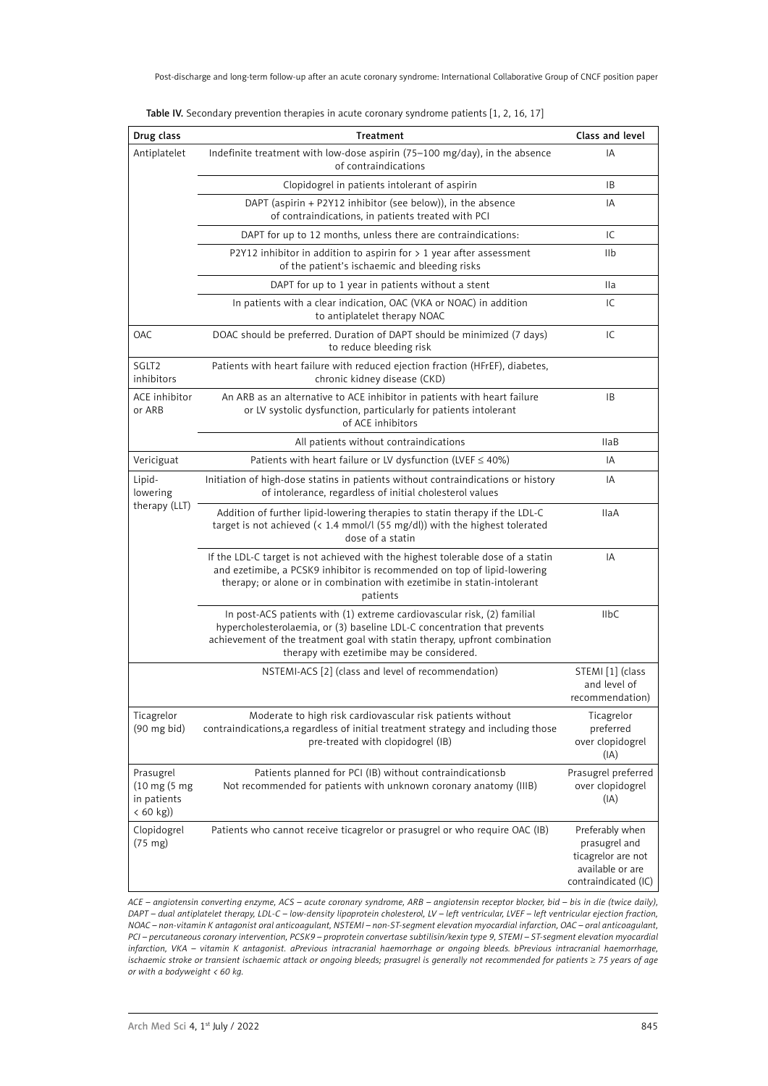| Drug class                                                            | Treatment                                                                                                                                                                                                                                                                      | Class and level                                                                                    |
|-----------------------------------------------------------------------|--------------------------------------------------------------------------------------------------------------------------------------------------------------------------------------------------------------------------------------------------------------------------------|----------------------------------------------------------------------------------------------------|
| Antiplatelet                                                          | Indefinite treatment with low-dose aspirin (75-100 mg/day), in the absence<br>of contraindications                                                                                                                                                                             | IA                                                                                                 |
|                                                                       | Clopidogrel in patients intolerant of aspirin                                                                                                                                                                                                                                  | IB                                                                                                 |
|                                                                       | DAPT (aspirin + P2Y12 inhibitor (see below)), in the absence<br>of contraindications, in patients treated with PCI                                                                                                                                                             | IA                                                                                                 |
|                                                                       | DAPT for up to 12 months, unless there are contraindications:                                                                                                                                                                                                                  | IC                                                                                                 |
|                                                                       | P2Y12 inhibitor in addition to aspirin for $> 1$ year after assessment<br>of the patient's ischaemic and bleeding risks                                                                                                                                                        | IIb                                                                                                |
|                                                                       | DAPT for up to 1 year in patients without a stent                                                                                                                                                                                                                              | <b>Ila</b>                                                                                         |
|                                                                       | In patients with a clear indication, OAC (VKA or NOAC) in addition<br>to antiplatelet therapy NOAC                                                                                                                                                                             | IC                                                                                                 |
| <b>OAC</b>                                                            | DOAC should be preferred. Duration of DAPT should be minimized (7 days)<br>to reduce bleeding risk                                                                                                                                                                             | IC                                                                                                 |
| SGLT <sub>2</sub><br>inhibitors                                       | Patients with heart failure with reduced ejection fraction (HFrEF), diabetes,<br>chronic kidney disease (CKD)                                                                                                                                                                  |                                                                                                    |
| ACE inhibitor<br>or ARB                                               | An ARB as an alternative to ACE inhibitor in patients with heart failure<br>or LV systolic dysfunction, particularly for patients intolerant<br>of ACE inhibitors                                                                                                              | <b>IB</b>                                                                                          |
|                                                                       | All patients without contraindications                                                                                                                                                                                                                                         | <b>IlaB</b>                                                                                        |
| Vericiguat                                                            | Patients with heart failure or LV dysfunction (LVEF $\leq$ 40%)                                                                                                                                                                                                                | IA                                                                                                 |
| Lipid-<br>lowering<br>therapy (LLT)                                   | Initiation of high-dose statins in patients without contraindications or history<br>of intolerance, regardless of initial cholesterol values                                                                                                                                   | IA                                                                                                 |
|                                                                       | Addition of further lipid-lowering therapies to statin therapy if the LDL-C<br>target is not achieved $($ 1.4 mmol/l $(55 mg/dl)$ ) with the highest tolerated<br>dose of a statin                                                                                             | <b>IlaA</b>                                                                                        |
|                                                                       | If the LDL-C target is not achieved with the highest tolerable dose of a statin<br>and ezetimibe, a PCSK9 inhibitor is recommended on top of lipid-lowering<br>therapy; or alone or in combination with ezetimibe in statin-intolerant<br>patients                             | IA                                                                                                 |
|                                                                       | In post-ACS patients with (1) extreme cardiovascular risk, (2) familial<br>hypercholesterolaemia, or (3) baseline LDL-C concentration that prevents<br>achievement of the treatment goal with statin therapy, upfront combination<br>therapy with ezetimibe may be considered. | <b>IIbC</b>                                                                                        |
|                                                                       | NSTEMI-ACS [2] (class and level of recommendation)                                                                                                                                                                                                                             | STEMI [1] (class<br>and level of<br>recommendation)                                                |
| Ticagrelor<br>$(90 \text{ mg bid})$                                   | Moderate to high risk cardiovascular risk patients without<br>contraindications, a regardless of initial treatment strategy and including those<br>pre-treated with clopidogrel (IB)                                                                                           | Ticagrelor<br>preferred<br>over clopidogrel<br>(IA)                                                |
| Prasugrel<br>$(10 \text{ mg} (5 \text{ mg}$<br>in patients<br>(60 kg) | Patients planned for PCI (IB) without contraindicationsb<br>Not recommended for patients with unknown coronary anatomy (IIIB)                                                                                                                                                  | Prasugrel preferred<br>over clopidogrel<br>(IA)                                                    |
| Clopidogrel<br>$(75 \text{ mg})$                                      | Patients who cannot receive ticagrelor or prasugrel or who require OAC (IB)                                                                                                                                                                                                    | Preferably when<br>prasugrel and<br>ticagrelor are not<br>available or are<br>contraindicated (IC) |

Table IV. Secondary prevention therapies in acute coronary syndrome patients [1, 2, 16, 17]

*ACE – angiotensin converting enzyme, ACS – acute coronary syndrome, ARB – angiotensin receptor blocker, bid – bis in die (twice daily), DAPT – dual antiplatelet therapy, LDL-C – low-density lipoprotein cholesterol, LV – left ventricular, LVEF – left ventricular ejection fraction, NOAC – non-vitamin K antagonist oral anticoagulant, NSTEMI – non-ST-segment elevation myocardial infarction, OAC – oral anticoagulant, PCI – percutaneous coronary intervention, PCSK9 – proprotein convertase subtilisin/kexin type 9, STEMI – ST-segment elevation myocardial infarction, VKA – vitamin K antagonist. aPrevious intracranial haemorrhage or ongoing bleeds. bPrevious intracranial haemorrhage, ischaemic stroke or transient ischaemic attack or ongoing bleeds; prasugrel is generally not recommended for patients* ≥ *75 years of age or with a bodyweight < 60 kg.*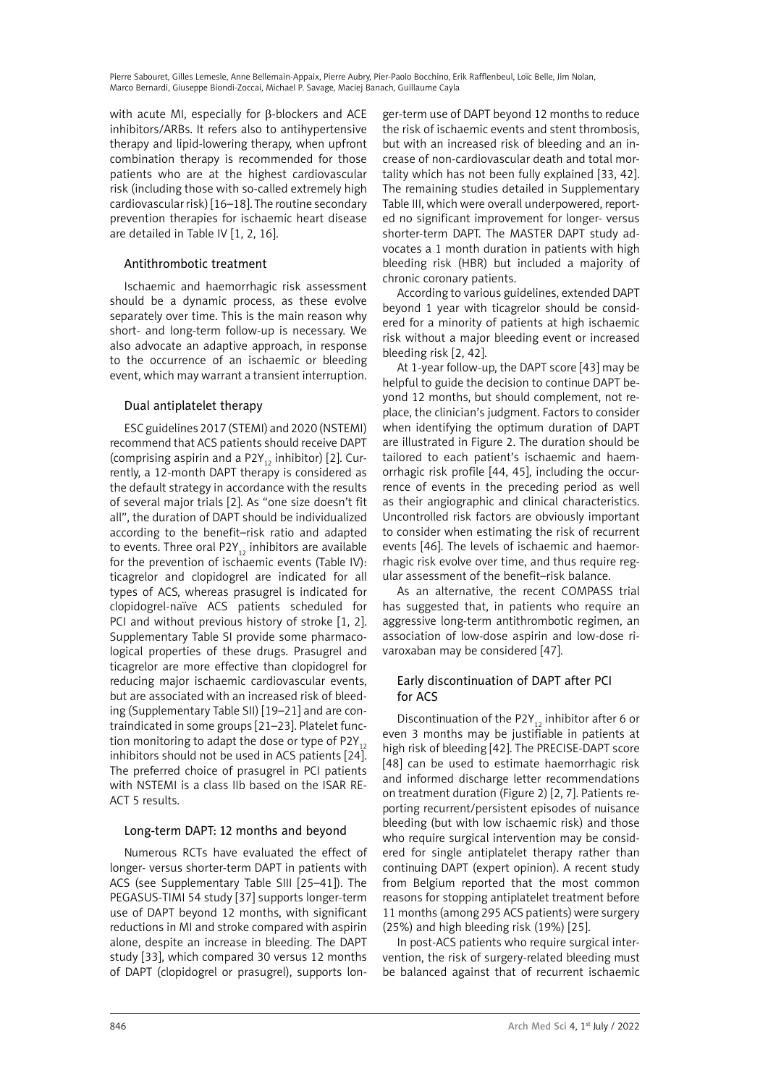with acute MI, especially for β-blockers and ACE inhibitors/ARBs. It refers also to antihypertensive therapy and lipid-lowering therapy, when upfront combination therapy is recommended for those patients who are at the highest cardiovascular risk (including those with so-called extremely high cardiovascular risk) [16–18]. The routine secondary prevention therapies for ischaemic heart disease are detailed in Table IV [1, 2, 16].

## Antithrombotic treatment

Ischaemic and haemorrhagic risk assessment should be a dynamic process, as these evolve separately over time. This is the main reason why short- and long-term follow-up is necessary. We also advocate an adaptive approach, in response to the occurrence of an ischaemic or bleeding event, which may warrant a transient interruption.

## Dual antiplatelet therapy

ESC guidelines 2017 (STEMI) and 2020 (NSTEMI) recommend that ACS patients should receive DAPT (comprising aspirin and a P2Y<sub>12</sub> inhibitor) [2]. Currently, a 12-month DAPT therapy is considered as the default strategy in accordance with the results of several major trials [2]. As "one size doesn't fit all", the duration of DAPT should be individualized according to the benefit–risk ratio and adapted to events. Three oral P2Y<sub>12</sub> inhibitors are available for the prevention of ischaemic events (Table IV): ticagrelor and clopidogrel are indicated for all types of ACS, whereas prasugrel is indicated for clopidogrel-naïve ACS patients scheduled for PCI and without previous history of stroke [1, 2]. Supplementary Table SI provide some pharmacological properties of these drugs. Prasugrel and ticagrelor are more effective than clopidogrel for reducing major ischaemic cardiovascular events, but are associated with an increased risk of bleeding (Supplementary Table SII) [19–21] and are contraindicated in some groups [21–23]. Platelet function monitoring to adapt the dose or type of P2Y<sub>12</sub> inhibitors should not be used in ACS patients [24]. The preferred choice of prasugrel in PCI patients with NSTEMI is a class IIb based on the ISAR RE-ACT 5 results.

## Long-term DAPT: 12 months and beyond

Numerous RCTs have evaluated the effect of longer- versus shorter-term DAPT in patients with ACS (see Supplementary Table SIII [25–41]). The PEGASUS-TIMI 54 study [37] supports longer-term use of DAPT beyond 12 months, with significant reductions in MI and stroke compared with aspirin alone, despite an increase in bleeding. The DAPT study [33], which compared 30 versus 12 months of DAPT (clopidogrel or prasugrel), supports lon-

ger-term use of DAPT beyond 12 months to reduce the risk of ischaemic events and stent thrombosis, but with an increased risk of bleeding and an increase of non-cardiovascular death and total mortality which has not been fully explained [33, 42]. The remaining studies detailed in Supplementary Table III, which were overall underpowered, reported no significant improvement for longer- versus shorter-term DAPT. The MASTER DAPT study advocates a 1 month duration in patients with high bleeding risk (HBR) but included a majority of chronic coronary patients.

According to various guidelines, extended DAPT beyond 1 year with ticagrelor should be considered for a minority of patients at high ischaemic risk without a major bleeding event or increased bleeding risk [2, 42].

At 1-year follow-up, the DAPT score [43] may be helpful to guide the decision to continue DAPT beyond 12 months, but should complement, not replace, the clinician's judgment. Factors to consider when identifying the optimum duration of DAPT are illustrated in Figure 2. The duration should be tailored to each patient's ischaemic and haemorrhagic risk profile [44, 45], including the occurrence of events in the preceding period as well as their angiographic and clinical characteristics. Uncontrolled risk factors are obviously important to consider when estimating the risk of recurrent events [46]. The levels of ischaemic and haemorrhagic risk evolve over time, and thus require regular assessment of the benefit–risk balance.

As an alternative, the recent COMPASS trial has suggested that, in patients who require an aggressive long-term antithrombotic regimen, an association of low-dose aspirin and low-dose rivaroxaban may be considered [47].

## Early discontinuation of DAPT after PCI for ACS

Discontinuation of the P2Y<sub>12</sub> inhibitor after 6 or even 3 months may be justifiable in patients at high risk of bleeding [42]. The PRECISE-DAPT score [48] can be used to estimate haemorrhagic risk and informed discharge letter recommendations on treatment duration (Figure 2) [2, 7]. Patients reporting recurrent/persistent episodes of nuisance bleeding (but with low ischaemic risk) and those who require surgical intervention may be considered for single antiplatelet therapy rather than continuing DAPT (expert opinion). A recent study from Belgium reported that the most common reasons for stopping antiplatelet treatment before 11 months (among 295 ACS patients) were surgery (25%) and high bleeding risk (19%) [25].

In post-ACS patients who require surgical intervention, the risk of surgery-related bleeding must be balanced against that of recurrent ischaemic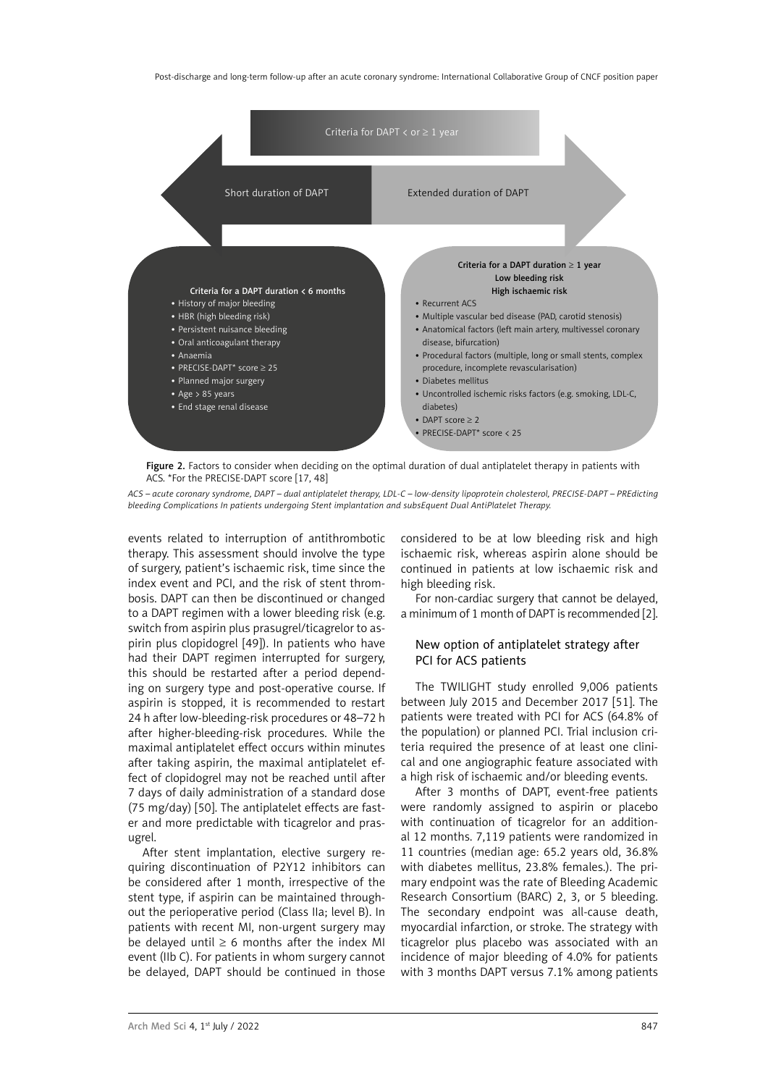Post-discharge and long-term follow-up after an acute coronary syndrome: International Collaborative Group of CNCF position paper



Figure 2. Factors to consider when deciding on the optimal duration of dual antiplatelet therapy in patients with ACS. \*For the PRECISE-DAPT score [17, 48]

*ACS – acute coronary syndrome, DAPT – dual antiplatelet therapy, LDL-C – low-density lipoprotein cholesterol, PRECISE-DAPT – PREdicting bleeding Complications In patients undergoing Stent implantation and subsEquent Dual AntiPlatelet Therapy.*

events related to interruption of antithrombotic therapy. This assessment should involve the type of surgery, patient's ischaemic risk, time since the index event and PCI, and the risk of stent thrombosis. DAPT can then be discontinued or changed to a DAPT regimen with a lower bleeding risk (e.g. switch from aspirin plus prasugrel/ticagrelor to aspirin plus clopidogrel [49]). In patients who have had their DAPT regimen interrupted for surgery, this should be restarted after a period depending on surgery type and post-operative course. If aspirin is stopped, it is recommended to restart 24 h after low-bleeding-risk procedures or 48–72 h after higher-bleeding-risk procedures. While the maximal antiplatelet effect occurs within minutes after taking aspirin, the maximal antiplatelet effect of clopidogrel may not be reached until after 7 days of daily administration of a standard dose (75 mg/day) [50]. The antiplatelet effects are faster and more predictable with ticagrelor and prasugrel.

After stent implantation, elective surgery requiring discontinuation of P2Y12 inhibitors can be considered after 1 month, irrespective of the stent type, if aspirin can be maintained throughout the perioperative period (Class IIa; level B). In patients with recent MI, non-urgent surgery may be delayed until  $\geq 6$  months after the index MI event (IIb C). For patients in whom surgery cannot be delayed, DAPT should be continued in those considered to be at low bleeding risk and high ischaemic risk, whereas aspirin alone should be continued in patients at low ischaemic risk and high bleeding risk.

For non-cardiac surgery that cannot be delayed, a minimum of 1 month of DAPT is recommended [2].

## New option of antiplatelet strategy after PCI for ACS patients

The TWILIGHT study enrolled 9,006 patients between July 2015 and December 2017 [51]. The patients were treated with PCI for ACS (64.8% of the population) or planned PCI. Trial inclusion criteria required the presence of at least one clinical and one angiographic feature associated with a high risk of ischaemic and/or bleeding events.

After 3 months of DAPT, event-free patients were randomly assigned to aspirin or placebo with continuation of ticagrelor for an additional 12 months. 7,119 patients were randomized in 11 countries (median age: 65.2 years old, 36.8% with diabetes mellitus, 23.8% females.). The primary endpoint was the rate of Bleeding Academic Research Consortium (BARC) 2, 3, or 5 bleeding. The secondary endpoint was all-cause death, myocardial infarction, or stroke. The strategy with ticagrelor plus placebo was associated with an incidence of major bleeding of 4.0% for patients with 3 months DAPT versus 7.1% among patients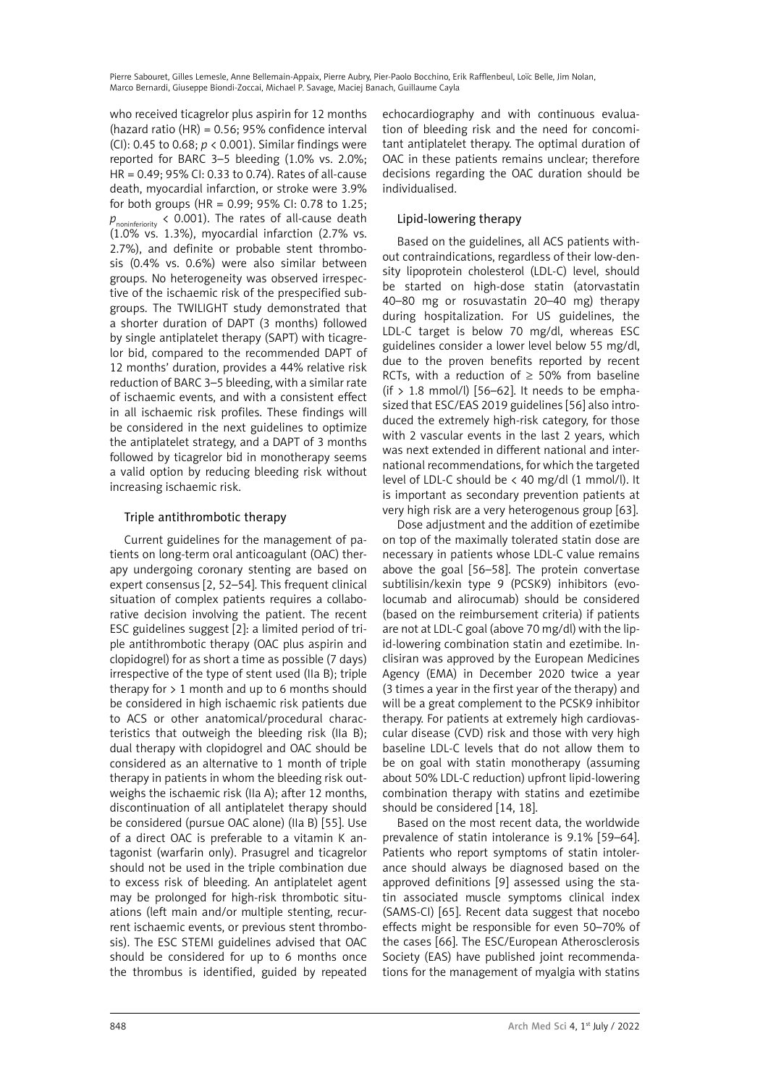who received ticagrelor plus aspirin for 12 months (hazard ratio (HR) = 0.56; 95% confidence interval (CI): 0.45 to 0.68; *p* < 0.001). Similar findings were reported for BARC 3–5 bleeding (1.0% vs. 2.0%; HR = 0.49; 95% CI: 0.33 to 0.74). Rates of all-cause death, myocardial infarction, or stroke were 3.9% for both groups (HR = 0.99; 95% CI: 0.78 to 1.25; *p*<sub>noninferiority < 0.001). The rates of all-cause death</sub> (1.0% vs. 1.3%), myocardial infarction (2.7% vs. 2.7%), and definite or probable stent thrombosis (0.4% vs. 0.6%) were also similar between groups. No heterogeneity was observed irrespective of the ischaemic risk of the prespecified subgroups. The TWILIGHT study demonstrated that a shorter duration of DAPT (3 months) followed by single antiplatelet therapy (SAPT) with ticagrelor bid, compared to the recommended DAPT of 12 months' duration, provides a 44% relative risk reduction of BARC 3–5 bleeding, with a similar rate of ischaemic events, and with a consistent effect in all ischaemic risk profiles. These findings will be considered in the next guidelines to optimize the antiplatelet strategy, and a DAPT of 3 months followed by ticagrelor bid in monotherapy seems a valid option by reducing bleeding risk without increasing ischaemic risk.

## Triple antithrombotic therapy

Current guidelines for the management of patients on long-term oral anticoagulant (OAC) therapy undergoing coronary stenting are based on expert consensus [2, 52–54]. This frequent clinical situation of complex patients requires a collaborative decision involving the patient. The recent ESC guidelines suggest [2]: a limited period of triple antithrombotic therapy (OAC plus aspirin and clopidogrel) for as short a time as possible (7 days) irrespective of the type of stent used (IIa B); triple therapy for  $> 1$  month and up to 6 months should be considered in high ischaemic risk patients due to ACS or other anatomical/procedural characteristics that outweigh the bleeding risk (IIa B); dual therapy with clopidogrel and OAC should be considered as an alternative to 1 month of triple therapy in patients in whom the bleeding risk outweighs the ischaemic risk (IIa A); after 12 months, discontinuation of all antiplatelet therapy should be considered (pursue OAC alone) (IIa B) [55]. Use of a direct OAC is preferable to a vitamin K antagonist (warfarin only). Prasugrel and ticagrelor should not be used in the triple combination due to excess risk of bleeding. An antiplatelet agent may be prolonged for high-risk thrombotic situations (left main and/or multiple stenting, recurrent ischaemic events, or previous stent thrombosis). The ESC STEMI guidelines advised that OAC should be considered for up to 6 months once the thrombus is identified, guided by repeated echocardiography and with continuous evaluation of bleeding risk and the need for concomitant antiplatelet therapy. The optimal duration of OAC in these patients remains unclear; therefore decisions regarding the OAC duration should be individualised.

## Lipid-lowering therapy

Based on the guidelines, all ACS patients without contraindications, regardless of their low-density lipoprotein cholesterol (LDL-C) level, should be started on high-dose statin (atorvastatin 40–80 mg or rosuvastatin 20–40 mg) therapy during hospitalization. For US guidelines, the LDL-C target is below 70 mg/dl, whereas ESC guidelines consider a lower level below 55 mg/dl, due to the proven benefits reported by recent RCTs, with a reduction of  $\geq$  50% from baseline (if  $> 1.8$  mmol/l) [56–62]. It needs to be emphasized that ESC/EAS 2019 guidelines [56] also introduced the extremely high-risk category, for those with 2 vascular events in the last 2 years, which was next extended in different national and international recommendations, for which the targeted level of LDL-C should be < 40 mg/dl (1 mmol/l). It is important as secondary prevention patients at very high risk are a very heterogenous group [63].

Dose adjustment and the addition of ezetimibe on top of the maximally tolerated statin dose are necessary in patients whose LDL-C value remains above the goal [56–58]. The protein convertase subtilisin/kexin type 9 (PCSK9) inhibitors (evolocumab and alirocumab) should be considered (based on the reimbursement criteria) if patients are not at LDL-C goal (above 70 mg/dl) with the lipid-lowering combination statin and ezetimibe. Inclisiran was approved by the European Medicines Agency (EMA) in December 2020 twice a year (3 times a year in the first year of the therapy) and will be a great complement to the PCSK9 inhibitor therapy. For patients at extremely high cardiovascular disease (CVD) risk and those with very high baseline LDL-C levels that do not allow them to be on goal with statin monotherapy (assuming about 50% LDL-C reduction) upfront lipid-lowering combination therapy with statins and ezetimibe should be considered [14, 18].

Based on the most recent data, the worldwide prevalence of statin intolerance is 9.1% [59–64]. Patients who report symptoms of statin intolerance should always be diagnosed based on the approved definitions [9] assessed using the statin associated muscle symptoms clinical index (SAMS-CI) [65]. Recent data suggest that nocebo effects might be responsible for even 50–70% of the cases [66]. The ESC/European Atherosclerosis Society (EAS) have published joint recommendations for the management of myalgia with statins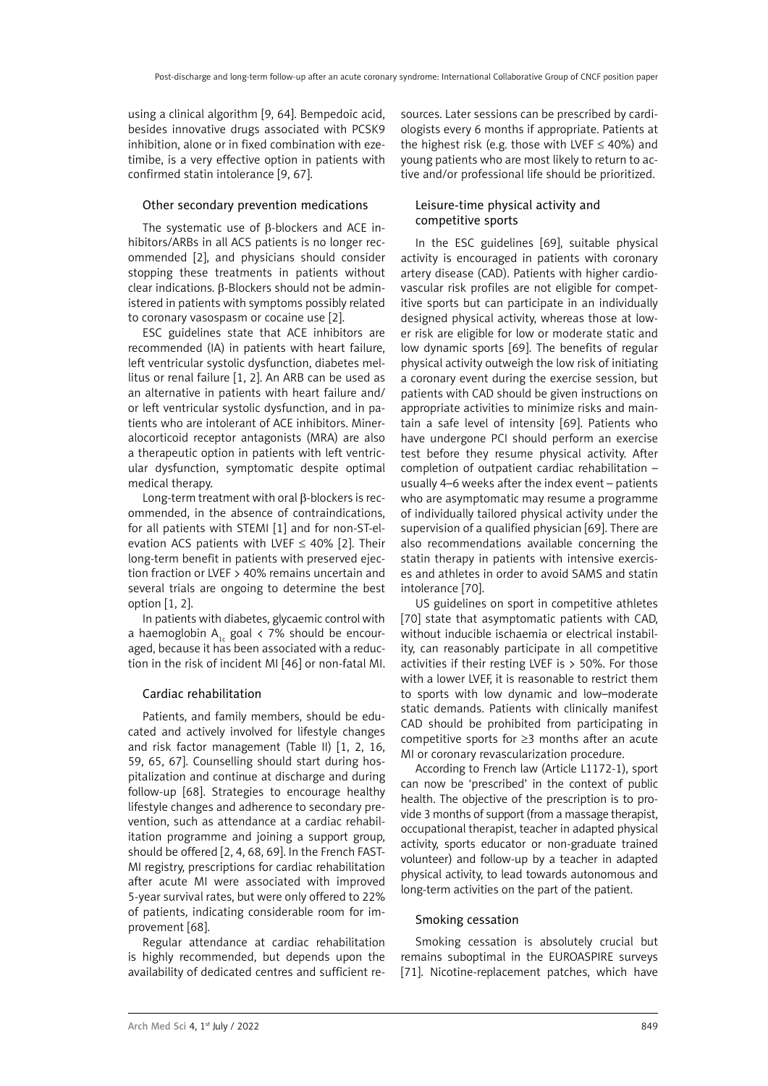using a clinical algorithm [9, 64]. Bempedoic acid, besides innovative drugs associated with PCSK9 inhibition, alone or in fixed combination with ezetimibe, is a very effective option in patients with confirmed statin intolerance [9, 67].

## Other secondary prevention medications

The systematic use of β-blockers and ACE inhibitors/ARBs in all ACS patients is no longer recommended [2], and physicians should consider stopping these treatments in patients without clear indications. β-Blockers should not be administered in patients with symptoms possibly related to coronary vasospasm or cocaine use [2].

ESC guidelines state that ACE inhibitors are recommended (IA) in patients with heart failure, left ventricular systolic dysfunction, diabetes mellitus or renal failure [1, 2]. An ARB can be used as an alternative in patients with heart failure and/ or left ventricular systolic dysfunction, and in patients who are intolerant of ACE inhibitors. Mineralocorticoid receptor antagonists (MRA) are also a therapeutic option in patients with left ventricular dysfunction, symptomatic despite optimal medical therapy.

Long-term treatment with oral β-blockers is recommended, in the absence of contraindications, for all patients with STEMI [1] and for non-ST-elevation ACS patients with LVEF  $\leq$  40% [2]. Their long-term benefit in patients with preserved ejection fraction or LVEF > 40% remains uncertain and several trials are ongoing to determine the best option [1, 2].

In patients with diabetes, glycaemic control with a haemoglobin  $A_{1c}$  goal < 7% should be encouraged, because it has been associated with a reduction in the risk of incident MI [46] or non-fatal MI.

## Cardiac rehabilitation

Patients, and family members, should be educated and actively involved for lifestyle changes and risk factor management (Table II) [1, 2, 16, 59, 65, 67]. Counselling should start during hospitalization and continue at discharge and during follow-up [68]. Strategies to encourage healthy lifestyle changes and adherence to secondary prevention, such as attendance at a cardiac rehabilitation programme and joining a support group, should be offered [2, 4, 68, 69]. In the French FAST-MI registry, prescriptions for cardiac rehabilitation after acute MI were associated with improved 5-year survival rates, but were only offered to 22% of patients, indicating considerable room for improvement [68].

Regular attendance at cardiac rehabilitation is highly recommended, but depends upon the availability of dedicated centres and sufficient resources. Later sessions can be prescribed by cardiologists every 6 months if appropriate. Patients at the highest risk (e.g. those with LVEF  $\leq$  40%) and young patients who are most likely to return to active and/or professional life should be prioritized.

## Leisure-time physical activity and competitive sports

In the ESC guidelines [69], suitable physical activity is encouraged in patients with coronary artery disease (CAD). Patients with higher cardiovascular risk profiles are not eligible for competitive sports but can participate in an individually designed physical activity, whereas those at lower risk are eligible for low or moderate static and low dynamic sports [69]. The benefits of regular physical activity outweigh the low risk of initiating a coronary event during the exercise session, but patients with CAD should be given instructions on appropriate activities to minimize risks and maintain a safe level of intensity [69]. Patients who have undergone PCI should perform an exercise test before they resume physical activity. After completion of outpatient cardiac rehabilitation – usually 4–6 weeks after the index event – patients who are asymptomatic may resume a programme of individually tailored physical activity under the supervision of a qualified physician [69]. There are also recommendations available concerning the statin therapy in patients with intensive exercises and athletes in order to avoid SAMS and statin intolerance [70].

US guidelines on sport in competitive athletes [70] state that asymptomatic patients with CAD, without inducible ischaemia or electrical instability, can reasonably participate in all competitive activities if their resting LVEF is  $>$  50%. For those with a lower LVEF, it is reasonable to restrict them to sports with low dynamic and low–moderate static demands. Patients with clinically manifest CAD should be prohibited from participating in competitive sports for ≥3 months after an acute MI or coronary revascularization procedure.

According to French law (Article L1172-1), sport can now be 'prescribed' in the context of public health. The objective of the prescription is to provide 3 months of support (from a massage therapist, occupational therapist, teacher in adapted physical activity, sports educator or non-graduate trained volunteer) and follow-up by a teacher in adapted physical activity, to lead towards autonomous and long-term activities on the part of the patient.

## Smoking cessation

Smoking cessation is absolutely crucial but remains suboptimal in the EUROASPIRE surveys [71]. Nicotine-replacement patches, which have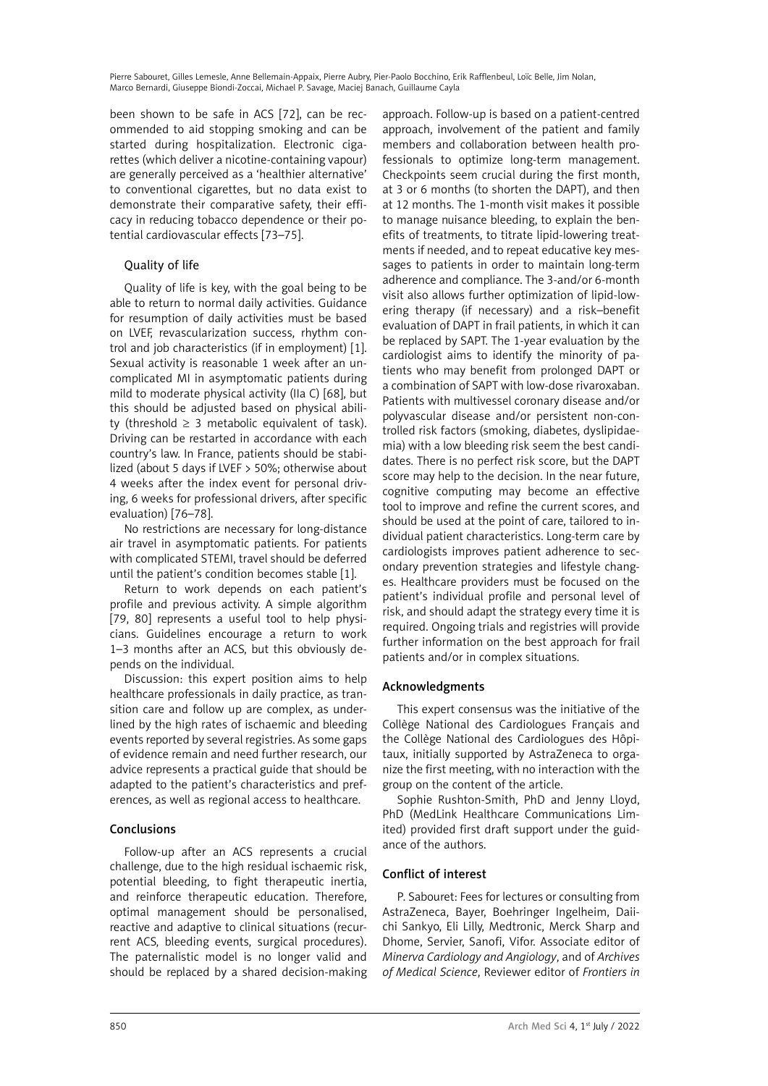been shown to be safe in ACS [72], can be recommended to aid stopping smoking and can be started during hospitalization. Electronic cigarettes (which deliver a nicotine-containing vapour) are generally perceived as a 'healthier alternative' to conventional cigarettes, but no data exist to demonstrate their comparative safety, their efficacy in reducing tobacco dependence or their potential cardiovascular effects [73–75].

## Quality of life

Quality of life is key, with the goal being to be able to return to normal daily activities. Guidance for resumption of daily activities must be based on LVEF, revascularization success, rhythm control and job characteristics (if in employment) [1]. Sexual activity is reasonable 1 week after an uncomplicated MI in asymptomatic patients during mild to moderate physical activity (IIa C) [68], but this should be adjusted based on physical ability (threshold  $\geq$  3 metabolic equivalent of task). Driving can be restarted in accordance with each country's law. In France, patients should be stabilized (about 5 days if LVEF > 50%; otherwise about 4 weeks after the index event for personal driving, 6 weeks for professional drivers, after specific evaluation) [76–78].

No restrictions are necessary for long-distance air travel in asymptomatic patients. For patients with complicated STEMI, travel should be deferred until the patient's condition becomes stable [1].

Return to work depends on each patient's profile and previous activity. A simple algorithm [79, 80] represents a useful tool to help physicians. Guidelines encourage a return to work 1–3 months after an ACS, but this obviously depends on the individual.

Discussion: this expert position aims to help healthcare professionals in daily practice, as transition care and follow up are complex, as underlined by the high rates of ischaemic and bleeding events reported by several registries. As some gaps of evidence remain and need further research, our advice represents a practical guide that should be adapted to the patient's characteristics and preferences, as well as regional access to healthcare.

# Conclusions

Follow-up after an ACS represents a crucial challenge, due to the high residual ischaemic risk, potential bleeding, to fight therapeutic inertia, and reinforce therapeutic education. Therefore, optimal management should be personalised, reactive and adaptive to clinical situations (recurrent ACS, bleeding events, surgical procedures). The paternalistic model is no longer valid and should be replaced by a shared decision-making

approach. Follow-up is based on a patient-centred approach, involvement of the patient and family members and collaboration between health professionals to optimize long-term management. Checkpoints seem crucial during the first month, at 3 or 6 months (to shorten the DAPT), and then at 12 months. The 1-month visit makes it possible to manage nuisance bleeding, to explain the benefits of treatments, to titrate lipid-lowering treatments if needed, and to repeat educative key messages to patients in order to maintain long-term adherence and compliance. The 3-and/or 6-month visit also allows further optimization of lipid-lowering therapy (if necessary) and a risk–benefit evaluation of DAPT in frail patients, in which it can be replaced by SAPT. The 1-year evaluation by the cardiologist aims to identify the minority of patients who may benefit from prolonged DAPT or a combination of SAPT with low-dose rivaroxaban. Patients with multivessel coronary disease and/or polyvascular disease and/or persistent non-controlled risk factors (smoking, diabetes, dyslipidaemia) with a low bleeding risk seem the best candidates. There is no perfect risk score, but the DAPT score may help to the decision. In the near future, cognitive computing may become an effective tool to improve and refine the current scores, and should be used at the point of care, tailored to individual patient characteristics. Long-term care by cardiologists improves patient adherence to secondary prevention strategies and lifestyle changes. Healthcare providers must be focused on the patient's individual profile and personal level of risk, and should adapt the strategy every time it is required. Ongoing trials and registries will provide further information on the best approach for frail patients and/or in complex situations.

## Acknowledgments

This expert consensus was the initiative of the Collège National des Cardiologues Français and the Collège National des Cardiologues des Hôpitaux, initially supported by AstraZeneca to organize the first meeting, with no interaction with the group on the content of the article.

Sophie Rushton-Smith, PhD and Jenny Lloyd, PhD (MedLink Healthcare Communications Limited) provided first draft support under the guidance of the authors.

# Conflict of interest

P. Sabouret: Fees for lectures or consulting from AstraZeneca, Bayer, Boehringer Ingelheim, Daiichi Sankyo, Eli Lilly, Medtronic, Merck Sharp and Dhome, Servier, Sanofi, Vifor. Associate editor of *Minerva Cardiology and Angiology*, and of *Archives of Medical Science*, Reviewer editor of *Frontiers in*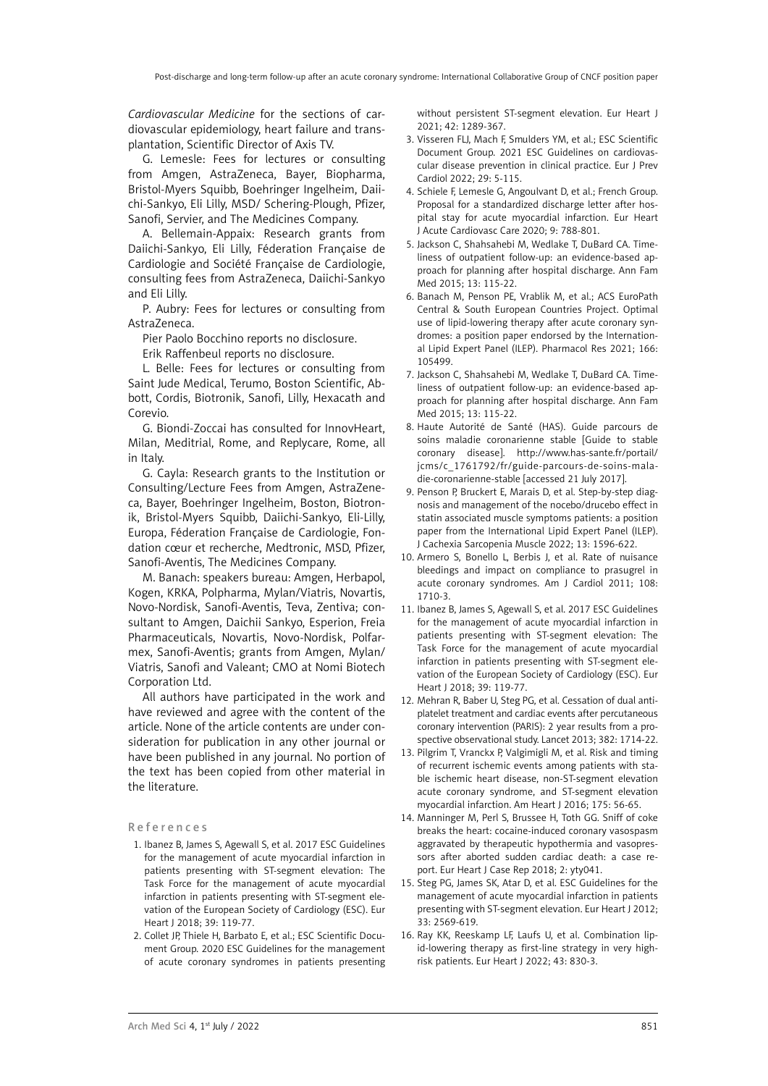*Cardiovascular Medicine* for the sections of cardiovascular epidemiology, heart failure and transplantation, Scientific Director of Axis TV.

G. Lemesle: Fees for lectures or consulting from Amgen, AstraZeneca, Bayer, Biopharma, Bristol-Myers Squibb, Boehringer Ingelheim, Daiichi-Sankyo, Eli Lilly, MSD/ Schering-Plough, Pfizer, Sanofi, Servier, and The Medicines Company.

A. Bellemain-Appaix: Research grants from Daiichi-Sankyo, Eli Lilly, Féderation Française de Cardiologie and Société Française de Cardiologie, consulting fees from AstraZeneca, Daiichi-Sankyo and Eli Lilly.

P. Aubry: Fees for lectures or consulting from AstraZeneca.

Pier Paolo Bocchino reports no disclosure.

Erik Raffenbeul reports no disclosure.

L. Belle: Fees for lectures or consulting from Saint Jude Medical, Terumo, Boston Scientific, Abbott, Cordis, Biotronik, Sanofi, Lilly, Hexacath and Corevio.

G. Biondi-Zoccai has consulted for InnovHeart, Milan, Meditrial, Rome, and Replycare, Rome, all in Italy.

G. Cayla: Research grants to the Institution or Consulting/Lecture Fees from Amgen, AstraZeneca, Bayer, Boehringer Ingelheim, Boston, Biotronik, Bristol-Myers Squibb, Daiichi-Sankyo, Eli-Lilly, Europa, Féderation Française de Cardiologie, Fondation cœur et recherche, Medtronic, MSD, Pfizer, Sanofi-Aventis, The Medicines Company.

M. Banach: speakers bureau: Amgen, Herbapol, Kogen, KRKA, Polpharma, Mylan/Viatris, Novartis, Novo-Nordisk, Sanofi-Aventis, Teva, Zentiva; consultant to Amgen, Daichii Sankyo, Esperion, Freia Pharmaceuticals, Novartis, Novo-Nordisk, Polfarmex, Sanofi-Aventis; grants from Amgen, Mylan/ Viatris, Sanofi and Valeant; CMO at Nomi Biotech Corporation Ltd.

All authors have participated in the work and have reviewed and agree with the content of the article. None of the article contents are under consideration for publication in any other journal or have been published in any journal. No portion of the text has been copied from other material in the literature.

#### R e f e r e n c e s

- 1. Ibanez B, James S, Agewall S, et al. 2017 ESC Guidelines for the management of acute myocardial infarction in patients presenting with ST-segment elevation: The Task Force for the management of acute myocardial infarction in patients presenting with ST-segment elevation of the European Society of Cardiology (ESC). Eur Heart J 2018; 39: 119-77.
- 2. Collet JP, Thiele H, Barbato E, et al.; ESC Scientific Document Group. 2020 ESC Guidelines for the management of acute coronary syndromes in patients presenting

without persistent ST-segment elevation. Eur Heart J 2021; 42: 1289-367.

- 3. Visseren FLJ, Mach F, Smulders YM, et al.; ESC Scientific Document Group. 2021 ESC Guidelines on cardiovascular disease prevention in clinical practice. Eur J Prev Cardiol 2022; 29: 5-115.
- 4. Schiele F, Lemesle G, Angoulvant D, et al.; French Group. Proposal for a standardized discharge letter after hospital stay for acute myocardial infarction. Eur Heart J Acute Cardiovasc Care 2020; 9: 788-801.
- 5. Jackson C, Shahsahebi M, Wedlake T, DuBard CA. Timeliness of outpatient follow-up: an evidence-based approach for planning after hospital discharge. Ann Fam Med 2015; 13: 115-22.
- 6. Banach M, Penson PE, Vrablik M, et al.; ACS EuroPath Central & South European Countries Project. Optimal use of lipid-lowering therapy after acute coronary syndromes: a position paper endorsed by the International Lipid Expert Panel (ILEP). Pharmacol Res 2021; 166: 105499.
- 7. Jackson C, Shahsahebi M, Wedlake T, DuBard CA. Timeliness of outpatient follow-up: an evidence-based approach for planning after hospital discharge. Ann Fam Med 2015; 13: 115-22.
- 8. Haute Autorité de Santé (HAS). Guide parcours de soins maladie coronarienne stable [Guide to stable coronary disease]. http://www.has-sante.fr/portail/ jcms/c\_1761792/fr/guide-parcours-de-soins-maladie-coronarienne-stable [accessed 21 July 2017].
- 9. Penson P, Bruckert E, Marais D, et al. Step-by-step diagnosis and management of the nocebo/drucebo effect in statin associated muscle symptoms patients: a position paper from the International Lipid Expert Panel (ILEP). J Cachexia Sarcopenia Muscle 2022; 13: 1596-622.
- 10. Armero S, Bonello L, Berbis J, et al. Rate of nuisance bleedings and impact on compliance to prasugrel in acute coronary syndromes. Am J Cardiol 2011; 108: 1710-3.
- 11. Ibanez B, James S, Agewall S, et al. 2017 ESC Guidelines for the management of acute myocardial infarction in patients presenting with ST-segment elevation: The Task Force for the management of acute myocardial infarction in patients presenting with ST-segment elevation of the European Society of Cardiology (ESC). Eur Heart J 2018; 39: 119-77.
- 12. Mehran R, Baber U, Steg PG, et al. Cessation of dual antiplatelet treatment and cardiac events after percutaneous coronary intervention (PARIS): 2 year results from a prospective observational study. Lancet 2013; 382: 1714-22.
- 13. Pilgrim T, Vranckx P, Valgimigli M, et al. Risk and timing of recurrent ischemic events among patients with stable ischemic heart disease, non-ST-segment elevation acute coronary syndrome, and ST-segment elevation myocardial infarction. Am Heart J 2016; 175: 56-65.
- 14. Manninger M, Perl S, Brussee H, Toth GG. Sniff of coke breaks the heart: cocaine-induced coronary vasospasm aggravated by therapeutic hypothermia and vasopressors after aborted sudden cardiac death: a case report. Eur Heart J Case Rep 2018; 2: yty041.
- 15. Steg PG, James SK, Atar D, et al. ESC Guidelines for the management of acute myocardial infarction in patients presenting with ST-segment elevation. Eur Heart J 2012; 33: 2569-619.
- 16. Ray KK, Reeskamp LF, Laufs U, et al. Combination lipid-lowering therapy as first-line strategy in very highrisk patients. Eur Heart J 2022; 43: 830-3.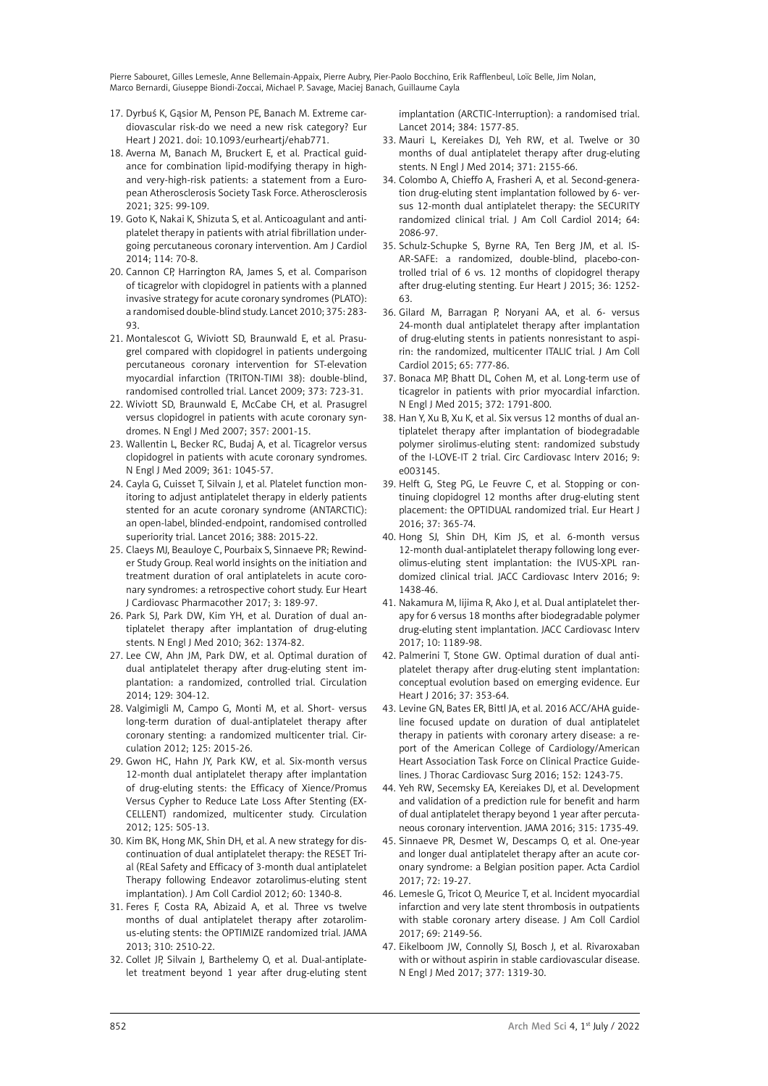- 17. Dyrbuś K, Gąsior M, Penson PE, Banach M. Extreme cardiovascular risk-do we need a new risk category? Eur Heart J 2021. doi: 10.1093/eurheartj/ehab771.
- 18. Averna M, Banach M, Bruckert E, et al. Practical guidance for combination lipid-modifying therapy in highand very-high-risk patients: a statement from a European Atherosclerosis Society Task Force. Atherosclerosis 2021; 325: 99-109.
- 19. Goto K, Nakai K, Shizuta S, et al. Anticoagulant and antiplatelet therapy in patients with atrial fibrillation undergoing percutaneous coronary intervention. Am J Cardiol 2014; 114: 70-8.
- 20. Cannon CP, Harrington RA, James S, et al. Comparison of ticagrelor with clopidogrel in patients with a planned invasive strategy for acute coronary syndromes (PLATO): a randomised double-blind study. Lancet 2010; 375: 283- 93.
- 21. Montalescot G, Wiviott SD, Braunwald E, et al. Prasugrel compared with clopidogrel in patients undergoing percutaneous coronary intervention for ST-elevation myocardial infarction (TRITON-TIMI 38): double-blind, randomised controlled trial. Lancet 2009; 373: 723-31.
- 22. Wiviott SD, Braunwald E, McCabe CH, et al. Prasugrel versus clopidogrel in patients with acute coronary syndromes. N Engl J Med 2007; 357: 2001-15.
- 23. Wallentin L, Becker RC, Budaj A, et al. Ticagrelor versus clopidogrel in patients with acute coronary syndromes. N Engl J Med 2009; 361: 1045-57.
- 24. Cayla G, Cuisset T, Silvain J, et al. Platelet function monitoring to adjust antiplatelet therapy in elderly patients stented for an acute coronary syndrome (ANTARCTIC): an open-label, blinded-endpoint, randomised controlled superiority trial. Lancet 2016; 388: 2015-22.
- 25. Claeys MJ, Beauloye C, Pourbaix S, Sinnaeve PR; Rewinder Study Group. Real world insights on the initiation and treatment duration of oral antiplatelets in acute coronary syndromes: a retrospective cohort study. Eur Heart J Cardiovasc Pharmacother 2017; 3: 189-97.
- 26. Park SJ, Park DW, Kim YH, et al. Duration of dual antiplatelet therapy after implantation of drug-eluting stents. N Engl J Med 2010; 362: 1374-82.
- 27. Lee CW, Ahn JM, Park DW, et al. Optimal duration of dual antiplatelet therapy after drug-eluting stent implantation: a randomized, controlled trial. Circulation 2014; 129: 304-12.
- 28. Valgimigli M, Campo G, Monti M, et al. Short- versus long-term duration of dual-antiplatelet therapy after coronary stenting: a randomized multicenter trial. Circulation 2012; 125: 2015-26.
- 29. Gwon HC, Hahn JY, Park KW, et al. Six-month versus 12-month dual antiplatelet therapy after implantation of drug-eluting stents: the Efficacy of Xience/Promus Versus Cypher to Reduce Late Loss After Stenting (EX-CELLENT) randomized, multicenter study. Circulation 2012; 125: 505-13.
- 30. Kim BK, Hong MK, Shin DH, et al. A new strategy for discontinuation of dual antiplatelet therapy: the RESET Trial (REal Safety and Efficacy of 3-month dual antiplatelet Therapy following Endeavor zotarolimus-eluting stent implantation). J Am Coll Cardiol 2012; 60: 1340-8.
- 31. Feres F, Costa RA, Abizaid A, et al. Three vs twelve months of dual antiplatelet therapy after zotarolimus-eluting stents: the OPTIMIZE randomized trial. JAMA 2013; 310: 2510-22.
- 32. Collet JP, Silvain J, Barthelemy O, et al. Dual-antiplatelet treatment beyond 1 year after drug-eluting stent

implantation (ARCTIC-Interruption): a randomised trial. Lancet 2014; 384: 1577-85.

- 33. Mauri L, Kereiakes DJ, Yeh RW, et al. Twelve or 30 months of dual antiplatelet therapy after drug-eluting stents. N Engl J Med 2014; 371: 2155-66.
- 34. Colombo A, Chieffo A, Frasheri A, et al. Second-generation drug-eluting stent implantation followed by 6- versus 12-month dual antiplatelet therapy: the SECURITY randomized clinical trial. J Am Coll Cardiol 2014; 64: 2086-97.
- 35. Schulz-Schupke S, Byrne RA, Ten Berg JM, et al. IS-AR-SAFE: a randomized, double-blind, placebo-controlled trial of 6 vs. 12 months of clopidogrel therapy after drug-eluting stenting. Eur Heart J 2015; 36: 1252- 63.
- 36. Gilard M, Barragan P, Noryani AA, et al. 6- versus 24-month dual antiplatelet therapy after implantation of drug-eluting stents in patients nonresistant to aspirin: the randomized, multicenter ITALIC trial. J Am Coll Cardiol 2015; 65: 777-86.
- 37. Bonaca MP, Bhatt DL, Cohen M, et al. Long-term use of ticagrelor in patients with prior myocardial infarction. N Engl J Med 2015; 372: 1791-800.
- 38. Han Y, Xu B, Xu K, et al. Six versus 12 months of dual antiplatelet therapy after implantation of biodegradable polymer sirolimus-eluting stent: randomized substudy of the I-LOVE-IT 2 trial. Circ Cardiovasc Interv 2016; 9: e003145.
- 39. Helft G, Steg PG, Le Feuvre C, et al. Stopping or continuing clopidogrel 12 months after drug-eluting stent placement: the OPTIDUAL randomized trial. Eur Heart J 2016; 37: 365-74.
- 40. Hong SJ, Shin DH, Kim JS, et al. 6-month versus 12-month dual-antiplatelet therapy following long everolimus-eluting stent implantation: the IVUS-XPL randomized clinical trial. JACC Cardiovasc Interv 2016; 9: 1438-46.
- 41. Nakamura M, Iijima R, Ako J, et al. Dual antiplatelet therapy for 6 versus 18 months after biodegradable polymer drug-eluting stent implantation. JACC Cardiovasc Interv 2017; 10: 1189-98.
- 42. Palmerini T, Stone GW. Optimal duration of dual antiplatelet therapy after drug-eluting stent implantation: conceptual evolution based on emerging evidence. Eur Heart J 2016; 37: 353-64.
- 43. Levine GN, Bates ER, Bittl JA, et al. 2016 ACC/AHA guideline focused update on duration of dual antiplatelet therapy in patients with coronary artery disease: a report of the American College of Cardiology/American Heart Association Task Force on Clinical Practice Guidelines. J Thorac Cardiovasc Surg 2016; 152: 1243-75.
- 44. Yeh RW, Secemsky EA, Kereiakes DJ, et al. Development and validation of a prediction rule for benefit and harm of dual antiplatelet therapy beyond 1 year after percutaneous coronary intervention. JAMA 2016; 315: 1735-49.
- 45. Sinnaeve PR, Desmet W, Descamps O, et al. One-year and longer dual antiplatelet therapy after an acute coronary syndrome: a Belgian position paper. Acta Cardiol 2017; 72: 19-27.
- 46. Lemesle G, Tricot O, Meurice T, et al. Incident myocardial infarction and very late stent thrombosis in outpatients with stable coronary artery disease. J Am Coll Cardiol 2017; 69: 2149-56.
- 47. Eikelboom JW, Connolly SJ, Bosch J, et al. Rivaroxaban with or without aspirin in stable cardiovascular disease. N Engl J Med 2017; 377: 1319-30.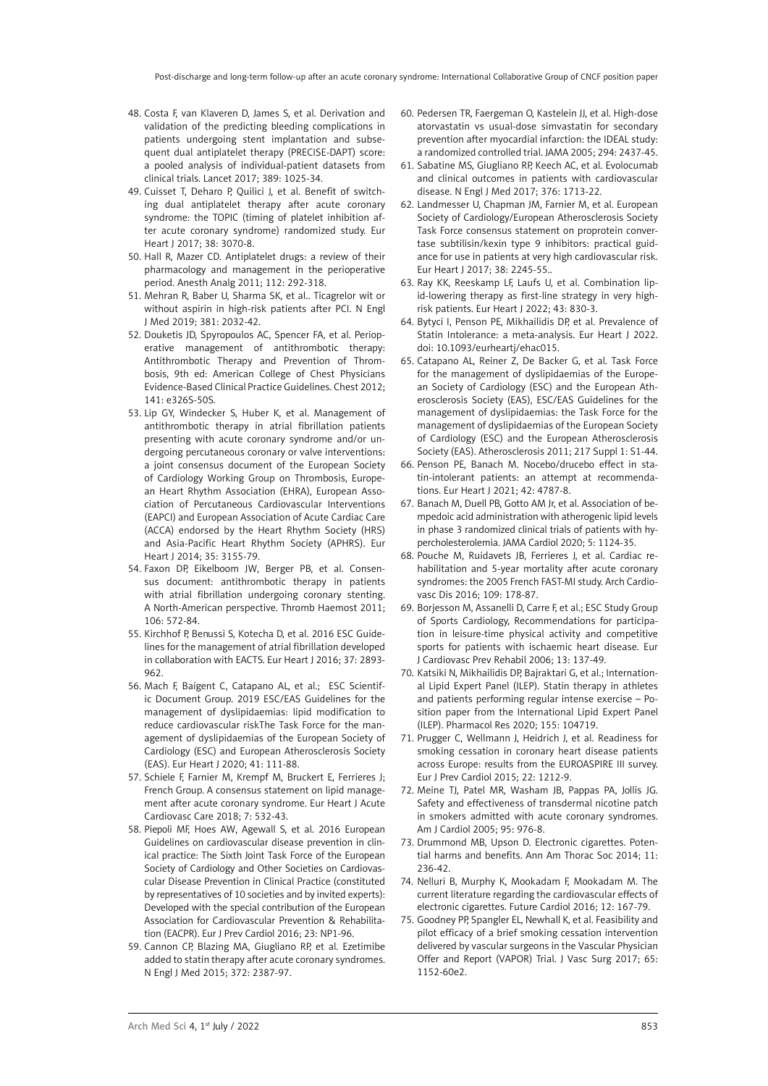- 48. Costa F, van Klaveren D, James S, et al. Derivation and validation of the predicting bleeding complications in patients undergoing stent implantation and subsequent dual antiplatelet therapy (PRECISE-DAPT) score: a pooled analysis of individual-patient datasets from clinical trials. Lancet 2017; 389: 1025-34.
- 49. Cuisset T, Deharo P, Quilici J, et al. Benefit of switching dual antiplatelet therapy after acute coronary syndrome: the TOPIC (timing of platelet inhibition after acute coronary syndrome) randomized study. Eur Heart J 2017; 38: 3070-8.
- 50. Hall R, Mazer CD. Antiplatelet drugs: a review of their pharmacology and management in the perioperative period. Anesth Analg 2011; 112: 292-318.
- 51. Mehran R, Baber U, Sharma SK, et al.. Ticagrelor wit or without aspirin in high-risk patients after PCI. N Engl J Med 2019; 381: 2032-42.
- 52. Douketis JD, Spyropoulos AC, Spencer FA, et al. Perioperative management of antithrombotic therapy: Antithrombotic Therapy and Prevention of Thrombosis, 9th ed: American College of Chest Physicians Evidence-Based Clinical Practice Guidelines. Chest 2012; 141: e326S-50S.
- 53. Lip GY, Windecker S, Huber K, et al. Management of antithrombotic therapy in atrial fibrillation patients presenting with acute coronary syndrome and/or undergoing percutaneous coronary or valve interventions: a joint consensus document of the European Society of Cardiology Working Group on Thrombosis, European Heart Rhythm Association (EHRA), European Association of Percutaneous Cardiovascular Interventions (EAPCI) and European Association of Acute Cardiac Care (ACCA) endorsed by the Heart Rhythm Society (HRS) and Asia-Pacific Heart Rhythm Society (APHRS). Eur Heart J 2014; 35: 3155-79.
- 54. Faxon DP, Eikelboom JW, Berger PB, et al. Consensus document: antithrombotic therapy in patients with atrial fibrillation undergoing coronary stenting. A North-American perspective. Thromb Haemost 2011; 106: 572-84.
- 55. Kirchhof P, Benussi S, Kotecha D, et al. 2016 ESC Guidelines for the management of atrial fibrillation developed in collaboration with EACTS. Eur Heart J 2016; 37: 2893- 962.
- 56. Mach F, Baigent C, Catapano AL, et al.; ESC Scientific Document Group. 2019 ESC/EAS Guidelines for the management of dyslipidaemias: lipid modification to reduce cardiovascular riskThe Task Force for the management of dyslipidaemias of the European Society of Cardiology (ESC) and European Atherosclerosis Society (EAS). Eur Heart J 2020; 41: 111-88.
- 57. Schiele F, Farnier M, Krempf M, Bruckert E, Ferrieres J; French Group. A consensus statement on lipid management after acute coronary syndrome. Eur Heart J Acute Cardiovasc Care 2018; 7: 532-43.
- 58. Piepoli MF, Hoes AW, Agewall S, et al. 2016 European Guidelines on cardiovascular disease prevention in clinical practice: The Sixth Joint Task Force of the European Society of Cardiology and Other Societies on Cardiovascular Disease Prevention in Clinical Practice (constituted by representatives of 10 societies and by invited experts): Developed with the special contribution of the European Association for Cardiovascular Prevention & Rehabilitation (EACPR). Eur J Prev Cardiol 2016; 23: NP1-96.
- 59. Cannon CP, Blazing MA, Giugliano RP, et al. Ezetimibe added to statin therapy after acute coronary syndromes. N Engl J Med 2015; 372: 2387-97.
- 60. Pedersen TR, Faergeman O, Kastelein JJ, et al. High-dose atorvastatin vs usual-dose simvastatin for secondary prevention after myocardial infarction: the IDEAL study: a randomized controlled trial. JAMA 2005; 294: 2437-45.
- 61. Sabatine MS, Giugliano RP, Keech AC, et al. Evolocumab and clinical outcomes in patients with cardiovascular disease. N Engl J Med 2017; 376: 1713-22.
- 62. Landmesser U, Chapman JM, Farnier M, et al. European Society of Cardiology/European Atherosclerosis Society Task Force consensus statement on proprotein convertase subtilisin/kexin type 9 inhibitors: practical guidance for use in patients at very high cardiovascular risk. Eur Heart J 2017; 38: 2245-55..
- 63. Ray KK, Reeskamp LF, Laufs U, et al. Combination lipid-lowering therapy as first-line strategy in very highrisk patients. Eur Heart J 2022; 43: 830-3.
- 64. Bytyci I, Penson PE, Mikhailidis DP, et al. Prevalence of Statin Intolerance: a meta-analysis. Eur Heart J 2022. doi: 10.1093/eurheartj/ehac015.
- 65. Catapano AL, Reiner Z, De Backer G, et al. Task Force for the management of dyslipidaemias of the European Society of Cardiology (ESC) and the European Atherosclerosis Society (EAS), ESC/EAS Guidelines for the management of dyslipidaemias: the Task Force for the management of dyslipidaemias of the European Society of Cardiology (ESC) and the European Atherosclerosis Society (EAS). Atherosclerosis 2011; 217 Suppl 1: S1-44.
- 66. Penson PE, Banach M. Nocebo/drucebo effect in statin-intolerant patients: an attempt at recommendations. Eur Heart J 2021; 42: 4787-8.
- 67. Banach M, Duell PB, Gotto AM Jr, et al. Association of bempedoic acid administration with atherogenic lipid levels in phase 3 randomized clinical trials of patients with hypercholesterolemia. JAMA Cardiol 2020; 5: 1124-35.
- 68. Pouche M, Ruidavets JB, Ferrieres J, et al. Cardiac rehabilitation and 5-year mortality after acute coronary syndromes: the 2005 French FAST-MI study. Arch Cardiovasc Dis 2016; 109: 178-87.
- 69. Borjesson M, Assanelli D, Carre F, et al.; ESC Study Group of Sports Cardiology, Recommendations for participation in leisure-time physical activity and competitive sports for patients with ischaemic heart disease. Eur J Cardiovasc Prev Rehabil 2006; 13: 137-49.
- 70. Katsiki N, Mikhailidis DP, Bajraktari G, et al.; International Lipid Expert Panel (ILEP). Statin therapy in athletes and patients performing regular intense exercise – Position paper from the International Lipid Expert Panel (ILEP). Pharmacol Res 2020; 155: 104719.
- 71. Prugger C, Wellmann J, Heidrich J, et al. Readiness for smoking cessation in coronary heart disease patients across Europe: results from the EUROASPIRE III survey. Eur J Prev Cardiol 2015; 22: 1212-9.
- 72. Meine TJ, Patel MR, Washam JB, Pappas PA, Jollis JG. Safety and effectiveness of transdermal nicotine patch in smokers admitted with acute coronary syndromes. Am J Cardiol 2005; 95: 976-8.
- 73. Drummond MB, Upson D. Electronic cigarettes. Potential harms and benefits. Ann Am Thorac Soc 2014; 11: 236-42.
- 74. Nelluri B, Murphy K, Mookadam F, Mookadam M. The current literature regarding the cardiovascular effects of electronic cigarettes. Future Cardiol 2016; 12: 167-79.
- 75. Goodney PP, Spangler EL, Newhall K, et al. Feasibility and pilot efficacy of a brief smoking cessation intervention delivered by vascular surgeons in the Vascular Physician Offer and Report (VAPOR) Trial. J Vasc Surg 2017; 65: 1152-60e2.